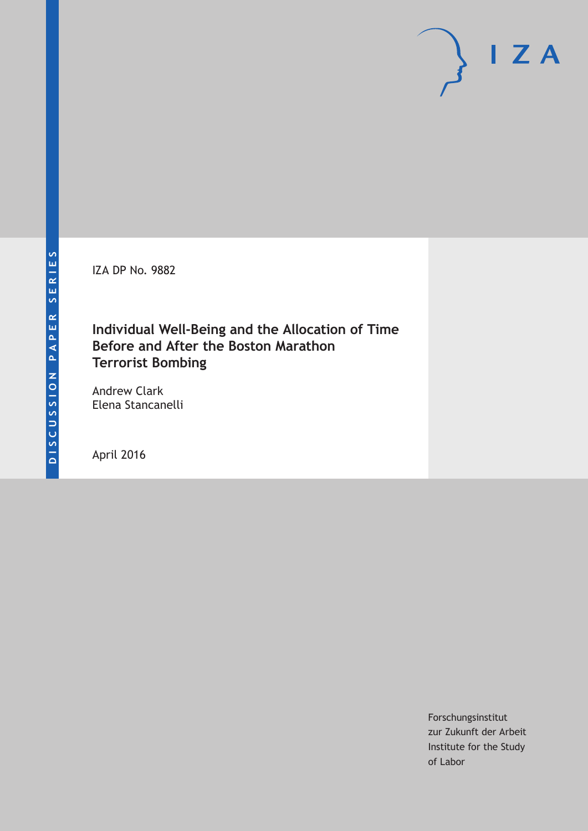IZA DP No. 9882

# **Individual Well-Being and the Allocation of Time Before and After the Boston Marathon Terrorist Bombing**

Andrew Clark Elena Stancanelli

April 2016

Forschungsinstitut zur Zukunft der Arbeit Institute for the Study of Labor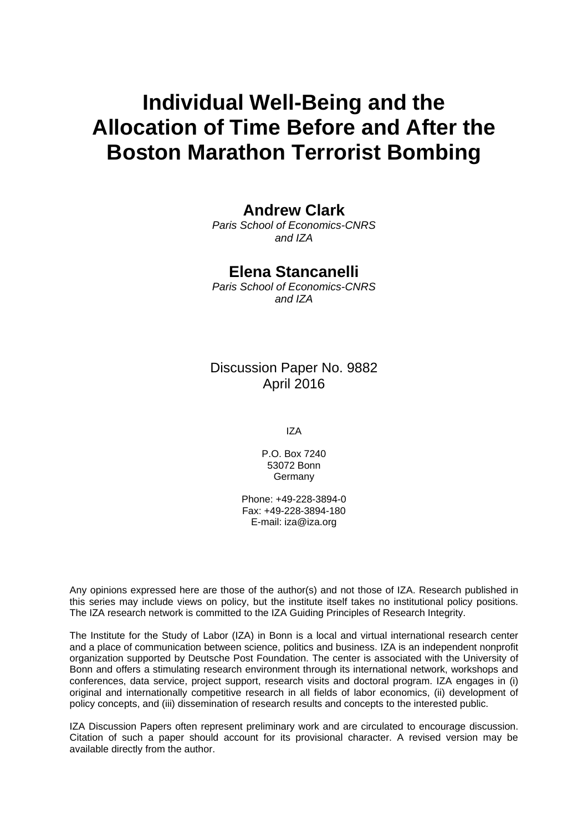# **Individual Well-Being and the Allocation of Time Before and After the Boston Marathon Terrorist Bombing**

### **Andrew Clark**

*Paris School of Economics-CNRS and IZA* 

## **Elena Stancanelli**

*Paris School of Economics-CNRS and IZA* 

Discussion Paper No. 9882 April 2016

IZA

P.O. Box 7240 53072 Bonn **Germany** 

Phone: +49-228-3894-0 Fax: +49-228-3894-180 E-mail: iza@iza.org

Any opinions expressed here are those of the author(s) and not those of IZA. Research published in this series may include views on policy, but the institute itself takes no institutional policy positions. The IZA research network is committed to the IZA Guiding Principles of Research Integrity.

The Institute for the Study of Labor (IZA) in Bonn is a local and virtual international research center and a place of communication between science, politics and business. IZA is an independent nonprofit organization supported by Deutsche Post Foundation. The center is associated with the University of Bonn and offers a stimulating research environment through its international network, workshops and conferences, data service, project support, research visits and doctoral program. IZA engages in (i) original and internationally competitive research in all fields of labor economics, (ii) development of policy concepts, and (iii) dissemination of research results and concepts to the interested public.

IZA Discussion Papers often represent preliminary work and are circulated to encourage discussion. Citation of such a paper should account for its provisional character. A revised version may be available directly from the author.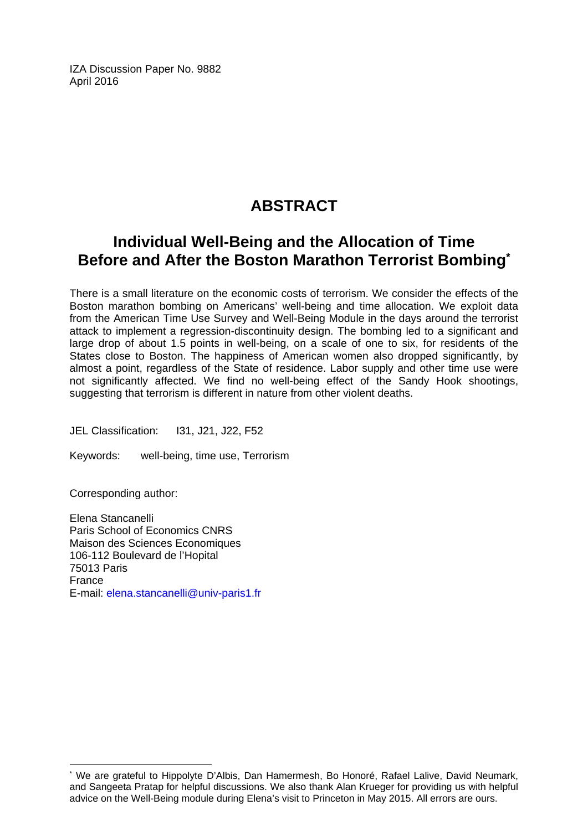IZA Discussion Paper No. 9882 April 2016

# **ABSTRACT**

# **Individual Well-Being and the Allocation of Time Before and After the Boston Marathon Terrorist Bombing\***

There is a small literature on the economic costs of terrorism. We consider the effects of the Boston marathon bombing on Americans' well-being and time allocation. We exploit data from the American Time Use Survey and Well-Being Module in the days around the terrorist attack to implement a regression-discontinuity design. The bombing led to a significant and large drop of about 1.5 points in well-being, on a scale of one to six, for residents of the States close to Boston. The happiness of American women also dropped significantly, by almost a point, regardless of the State of residence. Labor supply and other time use were not significantly affected. We find no well-being effect of the Sandy Hook shootings, suggesting that terrorism is different in nature from other violent deaths.

JEL Classification: I31, J21, J22, F52

Keywords: well-being, time use, Terrorism

Corresponding author:

 $\overline{\phantom{a}}$ 

Elena Stancanelli Paris School of Economics CNRS Maison des Sciences Economiques 106-112 Boulevard de l'Hopital 75013 Paris France E-mail: elena.stancanelli@univ-paris1.fr

<sup>\*</sup> We are grateful to Hippolyte D'Albis, Dan Hamermesh, Bo Honoré, Rafael Lalive, David Neumark, and Sangeeta Pratap for helpful discussions. We also thank Alan Krueger for providing us with helpful advice on the Well-Being module during Elena's visit to Princeton in May 2015. All errors are ours.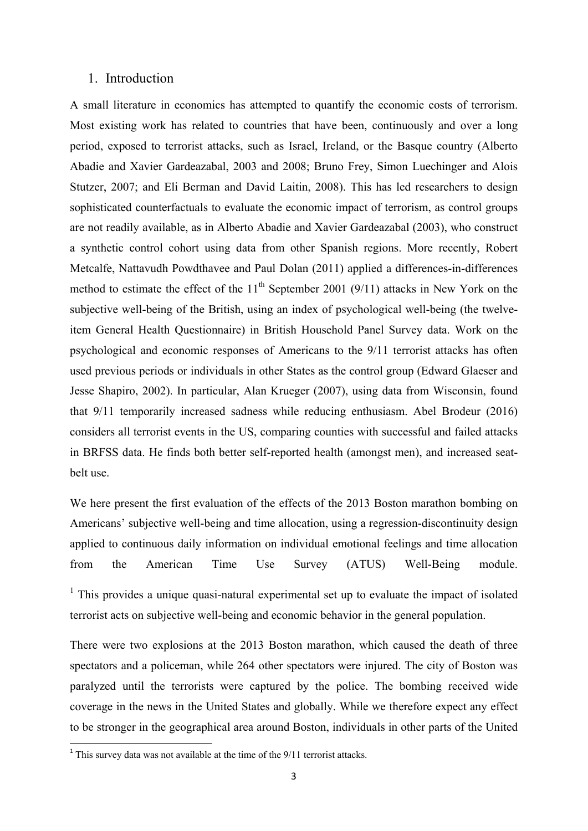#### 1. Introduction

A small literature in economics has attempted to quantify the economic costs of terrorism. Most existing work has related to countries that have been, continuously and over a long period, exposed to terrorist attacks, such as Israel, Ireland, or the Basque country (Alberto Abadie and Xavier Gardeazabal, 2003 and 2008; Bruno Frey, Simon Luechinger and Alois Stutzer, 2007; and Eli Berman and David Laitin, 2008). This has led researchers to design sophisticated counterfactuals to evaluate the economic impact of terrorism, as control groups are not readily available, as in Alberto Abadie and Xavier Gardeazabal (2003), who construct a synthetic control cohort using data from other Spanish regions. More recently, Robert Metcalfe, Nattavudh Powdthavee and Paul Dolan (2011) applied a differences-in-differences method to estimate the effect of the  $11<sup>th</sup>$  September 2001 (9/11) attacks in New York on the subjective well-being of the British, using an index of psychological well-being (the twelveitem General Health Questionnaire) in British Household Panel Survey data. Work on the psychological and economic responses of Americans to the 9/11 terrorist attacks has often used previous periods or individuals in other States as the control group (Edward Glaeser and Jesse Shapiro, 2002). In particular, Alan Krueger (2007), using data from Wisconsin, found that 9/11 temporarily increased sadness while reducing enthusiasm. Abel Brodeur (2016) considers all terrorist events in the US, comparing counties with successful and failed attacks in BRFSS data. He finds both better self-reported health (amongst men), and increased seatbelt use.

We here present the first evaluation of the effects of the 2013 Boston marathon bombing on Americans' subjective well-being and time allocation, using a regression-discontinuity design applied to continuous daily information on individual emotional feelings and time allocation from the American Time Use Survey (ATUS) Well-Being module.

<sup>1</sup> This provides a unique quasi-natural experimental set up to evaluate the impact of isolated terrorist acts on subjective well-being and economic behavior in the general population.

There were two explosions at the 2013 Boston marathon, which caused the death of three spectators and a policeman, while 264 other spectators were injured. The city of Boston was paralyzed until the terrorists were captured by the police. The bombing received wide coverage in the news in the United States and globally. While we therefore expect any effect to be stronger in the geographical area around Boston, individuals in other parts of the United

 $1$ <sup>1</sup> This survey data was not available at the time of the  $9/11$  terrorist attacks.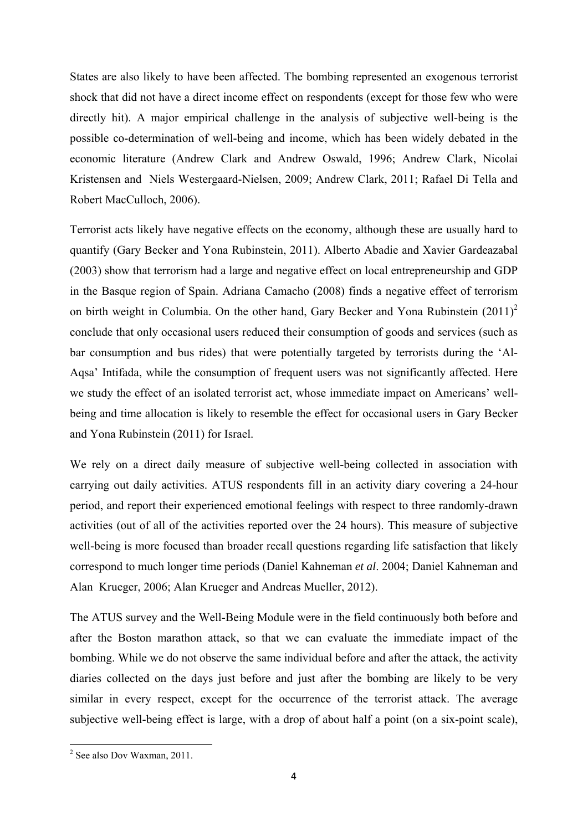States are also likely to have been affected. The bombing represented an exogenous terrorist shock that did not have a direct income effect on respondents (except for those few who were directly hit). A major empirical challenge in the analysis of subjective well-being is the possible co-determination of well-being and income, which has been widely debated in the economic literature (Andrew Clark and Andrew Oswald, 1996; Andrew Clark, Nicolai Kristensen and Niels Westergaard-Nielsen, 2009; Andrew Clark, 2011; Rafael Di Tella and Robert MacCulloch, 2006).

Terrorist acts likely have negative effects on the economy, although these are usually hard to quantify (Gary Becker and Yona Rubinstein, 2011). Alberto Abadie and Xavier Gardeazabal (2003) show that terrorism had a large and negative effect on local entrepreneurship and GDP in the Basque region of Spain. Adriana Camacho (2008) finds a negative effect of terrorism on birth weight in Columbia. On the other hand, Gary Becker and Yona Rubinstein  $(2011)^2$ conclude that only occasional users reduced their consumption of goods and services (such as bar consumption and bus rides) that were potentially targeted by terrorists during the 'Al-Aqsa' Intifada, while the consumption of frequent users was not significantly affected. Here we study the effect of an isolated terrorist act, whose immediate impact on Americans' wellbeing and time allocation is likely to resemble the effect for occasional users in Gary Becker and Yona Rubinstein (2011) for Israel.

We rely on a direct daily measure of subjective well-being collected in association with carrying out daily activities. ATUS respondents fill in an activity diary covering a 24-hour period, and report their experienced emotional feelings with respect to three randomly-drawn activities (out of all of the activities reported over the 24 hours). This measure of subjective well-being is more focused than broader recall questions regarding life satisfaction that likely correspond to much longer time periods (Daniel Kahneman *et al*. 2004; Daniel Kahneman and Alan Krueger, 2006; Alan Krueger and Andreas Mueller, 2012).

The ATUS survey and the Well-Being Module were in the field continuously both before and after the Boston marathon attack, so that we can evaluate the immediate impact of the bombing. While we do not observe the same individual before and after the attack, the activity diaries collected on the days just before and just after the bombing are likely to be very similar in every respect, except for the occurrence of the terrorist attack. The average subjective well-being effect is large, with a drop of about half a point (on a six-point scale),

 2 See also Dov Waxman, 2011.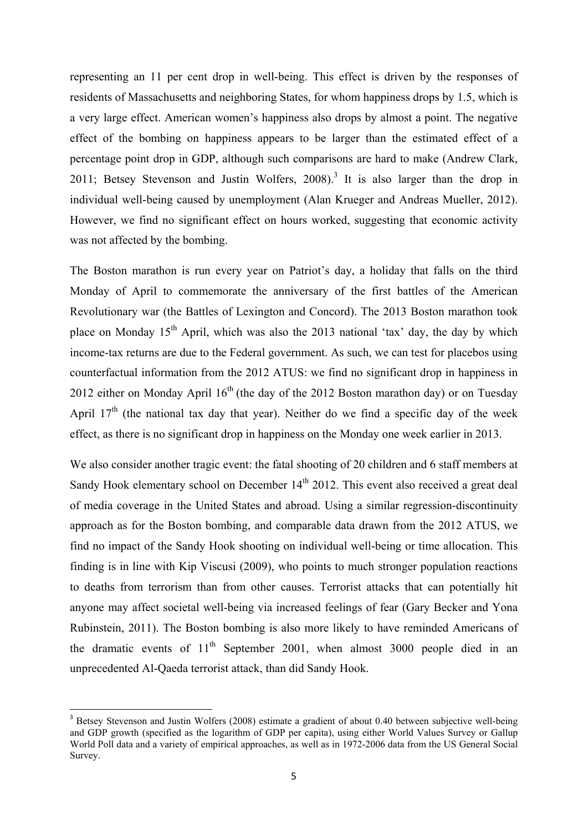representing an 11 per cent drop in well-being. This effect is driven by the responses of residents of Massachusetts and neighboring States, for whom happiness drops by 1.5, which is a very large effect. American women's happiness also drops by almost a point. The negative effect of the bombing on happiness appears to be larger than the estimated effect of a percentage point drop in GDP, although such comparisons are hard to make (Andrew Clark, 2011; Betsey Stevenson and Justin Wolfers,  $2008$ <sup>3</sup> It is also larger than the drop in individual well-being caused by unemployment (Alan Krueger and Andreas Mueller, 2012). However, we find no significant effect on hours worked, suggesting that economic activity was not affected by the bombing.

The Boston marathon is run every year on Patriot's day, a holiday that falls on the third Monday of April to commemorate the anniversary of the first battles of the American Revolutionary war (the Battles of Lexington and Concord). The 2013 Boston marathon took place on Monday 15<sup>th</sup> April, which was also the 2013 national 'tax' day, the day by which income-tax returns are due to the Federal government. As such, we can test for placebos using counterfactual information from the 2012 ATUS: we find no significant drop in happiness in 2012 either on Monday April  $16<sup>th</sup>$  (the day of the 2012 Boston marathon day) or on Tuesday April  $17<sup>th</sup>$  (the national tax day that year). Neither do we find a specific day of the week effect, as there is no significant drop in happiness on the Monday one week earlier in 2013.

We also consider another tragic event: the fatal shooting of 20 children and 6 staff members at Sandy Hook elementary school on December  $14<sup>th</sup>$  2012. This event also received a great deal of media coverage in the United States and abroad. Using a similar regression-discontinuity approach as for the Boston bombing, and comparable data drawn from the 2012 ATUS, we find no impact of the Sandy Hook shooting on individual well-being or time allocation. This finding is in line with Kip Viscusi (2009), who points to much stronger population reactions to deaths from terrorism than from other causes. Terrorist attacks that can potentially hit anyone may affect societal well-being via increased feelings of fear (Gary Becker and Yona Rubinstein, 2011). The Boston bombing is also more likely to have reminded Americans of the dramatic events of  $11<sup>th</sup>$  September 2001, when almost 3000 people died in an unprecedented Al-Qaeda terrorist attack, than did Sandy Hook.

<sup>&</sup>lt;sup>3</sup> Betsey Stevenson and Justin Wolfers (2008) estimate a gradient of about 0.40 between subjective well-being and GDP growth (specified as the logarithm of GDP per capita), using either World Values Survey or Gallup World Poll data and a variety of empirical approaches, as well as in 1972-2006 data from the US General Social Survey.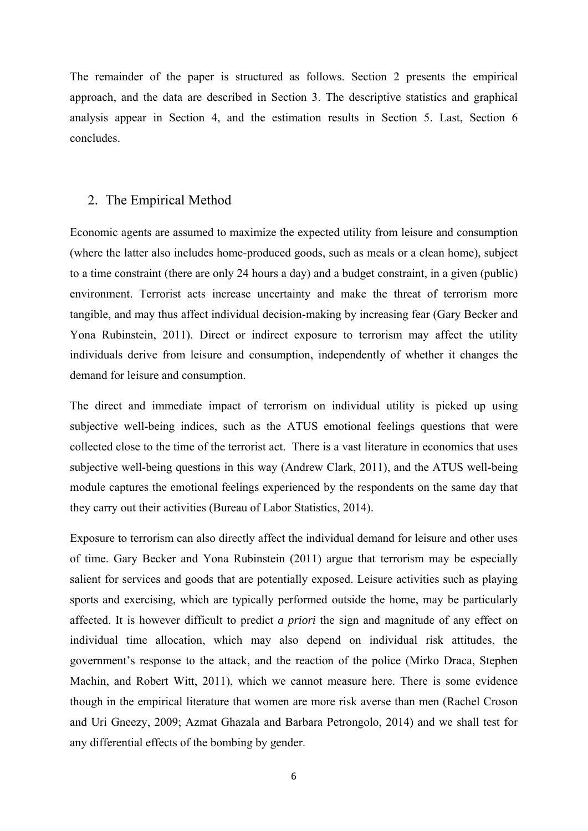The remainder of the paper is structured as follows. Section 2 presents the empirical approach, and the data are described in Section 3. The descriptive statistics and graphical analysis appear in Section 4, and the estimation results in Section 5. Last, Section 6 concludes.

#### 2. The Empirical Method

Economic agents are assumed to maximize the expected utility from leisure and consumption (where the latter also includes home-produced goods, such as meals or a clean home), subject to a time constraint (there are only 24 hours a day) and a budget constraint, in a given (public) environment. Terrorist acts increase uncertainty and make the threat of terrorism more tangible, and may thus affect individual decision-making by increasing fear (Gary Becker and Yona Rubinstein, 2011). Direct or indirect exposure to terrorism may affect the utility individuals derive from leisure and consumption, independently of whether it changes the demand for leisure and consumption.

The direct and immediate impact of terrorism on individual utility is picked up using subjective well-being indices, such as the ATUS emotional feelings questions that were collected close to the time of the terrorist act. There is a vast literature in economics that uses subjective well-being questions in this way (Andrew Clark, 2011), and the ATUS well-being module captures the emotional feelings experienced by the respondents on the same day that they carry out their activities (Bureau of Labor Statistics, 2014).

Exposure to terrorism can also directly affect the individual demand for leisure and other uses of time. Gary Becker and Yona Rubinstein (2011) argue that terrorism may be especially salient for services and goods that are potentially exposed. Leisure activities such as playing sports and exercising, which are typically performed outside the home, may be particularly affected. It is however difficult to predict *a priori* the sign and magnitude of any effect on individual time allocation, which may also depend on individual risk attitudes, the government's response to the attack, and the reaction of the police (Mirko Draca, Stephen Machin, and Robert Witt, 2011), which we cannot measure here. There is some evidence though in the empirical literature that women are more risk averse than men (Rachel Croson and Uri Gneezy, 2009; Azmat Ghazala and Barbara Petrongolo, 2014) and we shall test for any differential effects of the bombing by gender.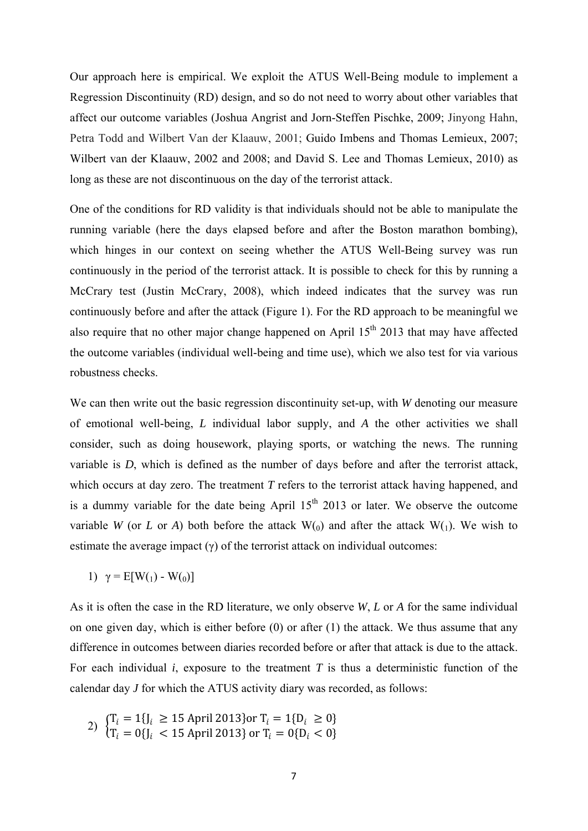Our approach here is empirical. We exploit the ATUS Well-Being module to implement a Regression Discontinuity (RD) design, and so do not need to worry about other variables that affect our outcome variables (Joshua Angrist and Jorn-Steffen Pischke, 2009; Jinyong Hahn, Petra Todd and Wilbert Van der Klaauw, 2001; Guido Imbens and Thomas Lemieux, 2007; Wilbert van der Klaauw, 2002 and 2008; and David S. Lee and Thomas Lemieux, 2010) as long as these are not discontinuous on the day of the terrorist attack.

One of the conditions for RD validity is that individuals should not be able to manipulate the running variable (here the days elapsed before and after the Boston marathon bombing), which hinges in our context on seeing whether the ATUS Well-Being survey was run continuously in the period of the terrorist attack. It is possible to check for this by running a McCrary test (Justin McCrary, 2008), which indeed indicates that the survey was run continuously before and after the attack (Figure 1). For the RD approach to be meaningful we also require that no other major change happened on April  $15<sup>th</sup>$  2013 that may have affected the outcome variables (individual well-being and time use), which we also test for via various robustness checks.

We can then write out the basic regression discontinuity set-up, with *W* denoting our measure of emotional well-being, *L* individual labor supply, and *A* the other activities we shall consider, such as doing housework, playing sports, or watching the news. The running variable is *D*, which is defined as the number of days before and after the terrorist attack, which occurs at day zero. The treatment *T* refers to the terrorist attack having happened, and is a dummy variable for the date being April  $15<sup>th</sup>$  2013 or later. We observe the outcome variable *W* (or *L* or *A*) both before the attack  $W<sub>0</sub>$  and after the attack  $W<sub>1</sub>$ ). We wish to estimate the average impact  $(v)$  of the terrorist attack on individual outcomes:

1)  $\gamma = E[W(1) - W(0)]$ 

As it is often the case in the RD literature, we only observe *W*, *L* or *A* for the same individual on one given day, which is either before  $(0)$  or after  $(1)$  the attack. We thus assume that any difference in outcomes between diaries recorded before or after that attack is due to the attack. For each individual  $i$ , exposure to the treatment  $T$  is thus a deterministic function of the calendar day *J* for which the ATUS activity diary was recorded, as follows:

2) 
$$
\begin{cases} T_i = 1\{J_i \ge 15 \text{ April 2013}\} \text{or } T_i = 1\{D_i \ge 0\} \\ T_i = 0\{J_i < 15 \text{ April 2013}\} \text{ or } T_i = 0\{D_i < 0\} \end{cases}
$$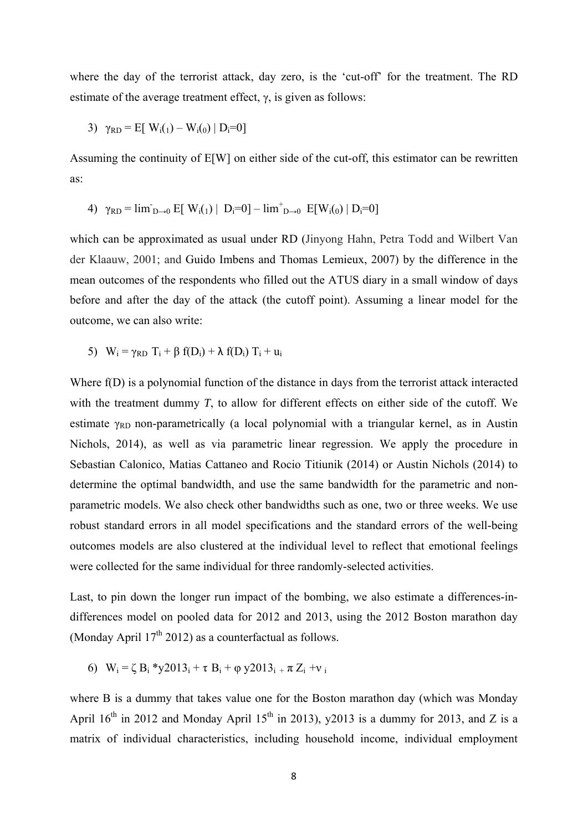where the day of the terrorist attack, day zero, is the 'cut-off' for the treatment. The RD estimate of the average treatment effect,  $\gamma$ , is given as follows:

3) 
$$
\gamma_{RD} = E[W_i(1) - W_i(0) | D_i = 0]
$$

Assuming the continuity of E[W] on either side of the cut-off, this estimator can be rewritten as:

4) 
$$
\gamma_{RD} = \lim_{D \to 0} E[W_i(1) | D_i = 0] - \lim_{D \to 0} E[W_i(0) | D_i = 0]
$$

which can be approximated as usual under RD (Jinyong Hahn, Petra Todd and Wilbert Van der Klaauw, 2001; and Guido Imbens and Thomas Lemieux, 2007) by the difference in the mean outcomes of the respondents who filled out the ATUS diary in a small window of days before and after the day of the attack (the cutoff point). Assuming a linear model for the outcome, we can also write:

5)  $W_i = \gamma_{RD} T_i + \beta f(D_i) + \lambda f(D_i) T_i + u_i$ 

Where f(D) is a polynomial function of the distance in days from the terrorist attack interacted with the treatment dummy *T*, to allow for different effects on either side of the cutoff. We estimate  $\gamma_{RD}$  non-parametrically (a local polynomial with a triangular kernel, as in Austin Nichols, 2014), as well as via parametric linear regression. We apply the procedure in Sebastian Calonico, Matias Cattaneo and Rocio Titiunik (2014) or Austin Nichols (2014) to determine the optimal bandwidth, and use the same bandwidth for the parametric and nonparametric models. We also check other bandwidths such as one, two or three weeks. We use robust standard errors in all model specifications and the standard errors of the well-being outcomes models are also clustered at the individual level to reflect that emotional feelings were collected for the same individual for three randomly-selected activities.

Last, to pin down the longer run impact of the bombing, we also estimate a differences-indifferences model on pooled data for 2012 and 2013, using the 2012 Boston marathon day (Monday April  $17<sup>th</sup> 2012$ ) as a counterfactual as follows.

6)  $W_i = \zeta B_i * y2013_i + \tau B_i + \varphi y2013_i + \pi Z_i + v_i$ 

where B is a dummy that takes value one for the Boston marathon day (which was Monday April  $16^{th}$  in 2012 and Monday April  $15^{th}$  in 2013), y2013 is a dummy for 2013, and Z is a matrix of individual characteristics, including household income, individual employment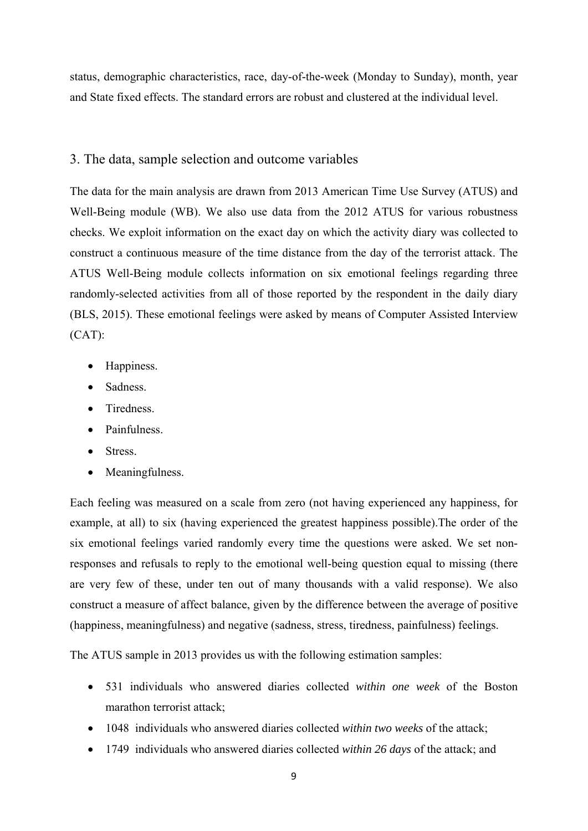status, demographic characteristics, race, day-of-the-week (Monday to Sunday), month, year and State fixed effects. The standard errors are robust and clustered at the individual level.

#### 3. The data, sample selection and outcome variables

The data for the main analysis are drawn from 2013 American Time Use Survey (ATUS) and Well-Being module (WB). We also use data from the 2012 ATUS for various robustness checks. We exploit information on the exact day on which the activity diary was collected to construct a continuous measure of the time distance from the day of the terrorist attack. The ATUS Well-Being module collects information on six emotional feelings regarding three randomly-selected activities from all of those reported by the respondent in the daily diary (BLS, 2015). These emotional feelings were asked by means of Computer Assisted Interview (CAT):

- Happiness.
- Sadness.
- Tiredness
- Painfulness
- Stress.
- Meaningfulness.

Each feeling was measured on a scale from zero (not having experienced any happiness, for example, at all) to six (having experienced the greatest happiness possible).The order of the six emotional feelings varied randomly every time the questions were asked. We set nonresponses and refusals to reply to the emotional well-being question equal to missing (there are very few of these, under ten out of many thousands with a valid response). We also construct a measure of affect balance, given by the difference between the average of positive (happiness, meaningfulness) and negative (sadness, stress, tiredness, painfulness) feelings.

The ATUS sample in 2013 provides us with the following estimation samples:

- 531 individuals who answered diaries collected *within one week* of the Boston marathon terrorist attack;
- 1048 individuals who answered diaries collected *within two weeks* of the attack;
- 1749 individuals who answered diaries collected *within 26 days* of the attack; and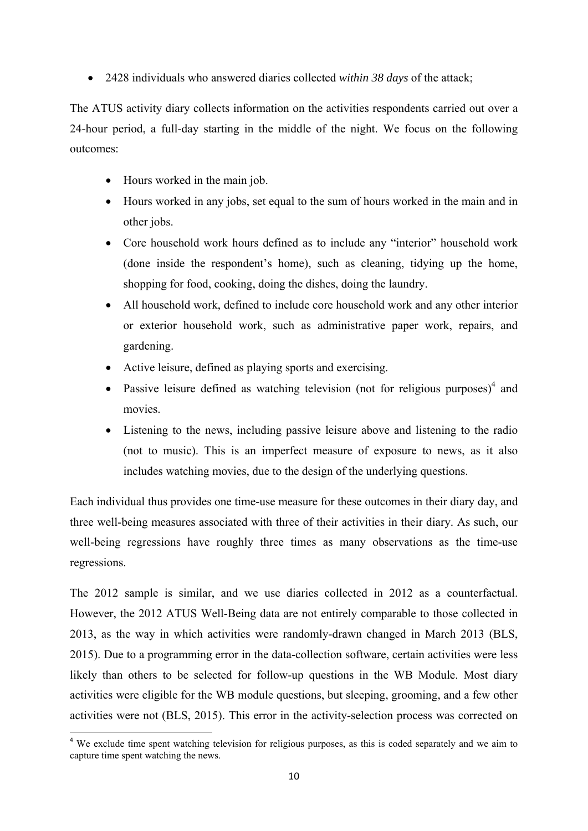2428 individuals who answered diaries collected *within 38 days* of the attack;

The ATUS activity diary collects information on the activities respondents carried out over a 24-hour period, a full-day starting in the middle of the night. We focus on the following outcomes:

- Hours worked in the main job.
- Hours worked in any jobs, set equal to the sum of hours worked in the main and in other jobs.
- Core household work hours defined as to include any "interior" household work (done inside the respondent's home), such as cleaning, tidying up the home, shopping for food, cooking, doing the dishes, doing the laundry.
- All household work, defined to include core household work and any other interior or exterior household work, such as administrative paper work, repairs, and gardening.
- Active leisure, defined as playing sports and exercising.
- Passive leisure defined as watching television (not for religious purposes) $4$  and movies.
- Listening to the news, including passive leisure above and listening to the radio (not to music). This is an imperfect measure of exposure to news, as it also includes watching movies, due to the design of the underlying questions.

Each individual thus provides one time-use measure for these outcomes in their diary day, and three well-being measures associated with three of their activities in their diary. As such, our well-being regressions have roughly three times as many observations as the time-use regressions.

The 2012 sample is similar, and we use diaries collected in 2012 as a counterfactual. However, the 2012 ATUS Well-Being data are not entirely comparable to those collected in 2013, as the way in which activities were randomly-drawn changed in March 2013 (BLS, 2015). Due to a programming error in the data-collection software, certain activities were less likely than others to be selected for follow-up questions in the WB Module. Most diary activities were eligible for the WB module questions, but sleeping, grooming, and a few other activities were not (BLS, 2015). This error in the activity-selection process was corrected on

<sup>&</sup>lt;sup>4</sup> We exclude time spent watching television for religious purposes, as this is coded separately and we aim to capture time spent watching the news.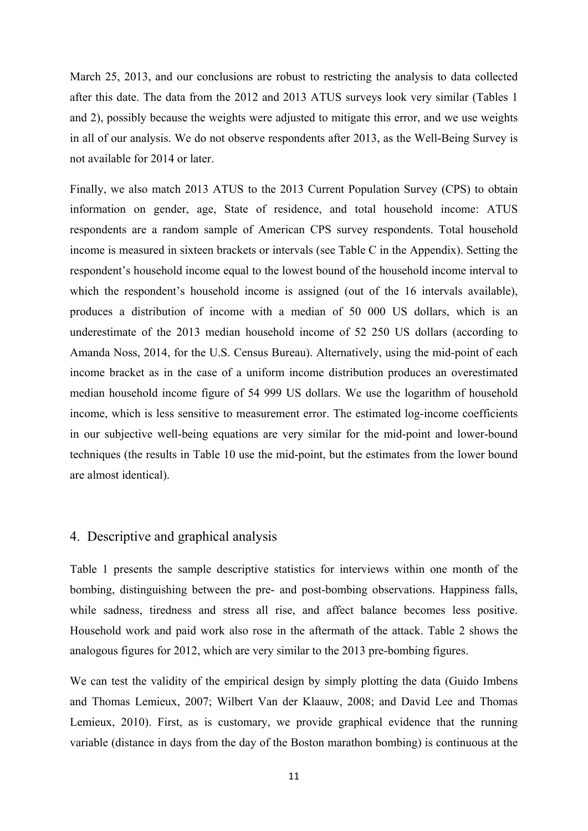March 25, 2013, and our conclusions are robust to restricting the analysis to data collected after this date. The data from the 2012 and 2013 ATUS surveys look very similar (Tables 1 and 2), possibly because the weights were adjusted to mitigate this error, and we use weights in all of our analysis. We do not observe respondents after 2013, as the Well-Being Survey is not available for 2014 or later.

Finally, we also match 2013 ATUS to the 2013 Current Population Survey (CPS) to obtain information on gender, age, State of residence, and total household income: ATUS respondents are a random sample of American CPS survey respondents. Total household income is measured in sixteen brackets or intervals (see Table C in the Appendix). Setting the respondent's household income equal to the lowest bound of the household income interval to which the respondent's household income is assigned (out of the 16 intervals available), produces a distribution of income with a median of 50 000 US dollars, which is an underestimate of the 2013 median household income of 52 250 US dollars (according to Amanda Noss, 2014, for the U.S. Census Bureau). Alternatively, using the mid-point of each income bracket as in the case of a uniform income distribution produces an overestimated median household income figure of 54 999 US dollars. We use the logarithm of household income, which is less sensitive to measurement error. The estimated log-income coefficients in our subjective well-being equations are very similar for the mid-point and lower-bound techniques (the results in Table 10 use the mid-point, but the estimates from the lower bound are almost identical).

### 4. Descriptive and graphical analysis

Table 1 presents the sample descriptive statistics for interviews within one month of the bombing, distinguishing between the pre- and post-bombing observations. Happiness falls, while sadness, tiredness and stress all rise, and affect balance becomes less positive. Household work and paid work also rose in the aftermath of the attack. Table 2 shows the analogous figures for 2012, which are very similar to the 2013 pre-bombing figures.

We can test the validity of the empirical design by simply plotting the data (Guido Imbens and Thomas Lemieux, 2007; Wilbert Van der Klaauw, 2008; and David Lee and Thomas Lemieux, 2010). First, as is customary, we provide graphical evidence that the running variable (distance in days from the day of the Boston marathon bombing) is continuous at the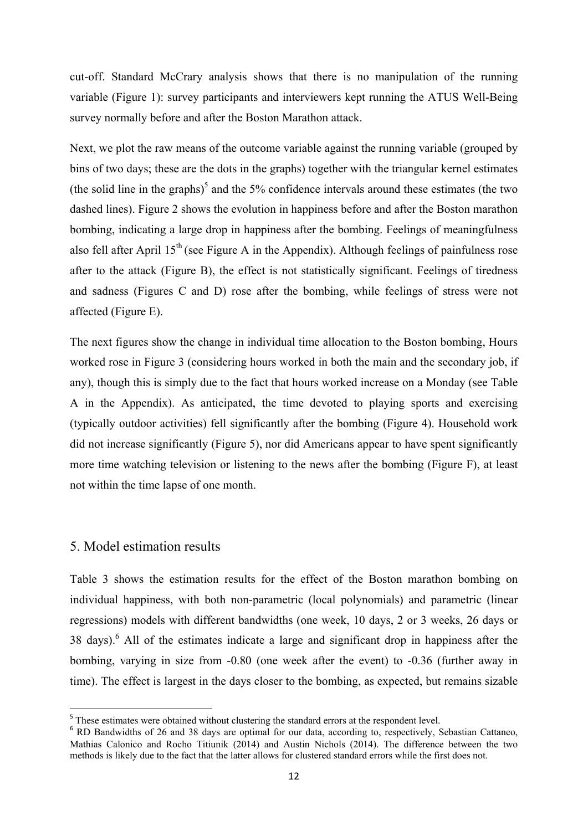cut-off. Standard McCrary analysis shows that there is no manipulation of the running variable (Figure 1): survey participants and interviewers kept running the ATUS Well-Being survey normally before and after the Boston Marathon attack.

Next, we plot the raw means of the outcome variable against the running variable (grouped by bins of two days; these are the dots in the graphs) together with the triangular kernel estimates (the solid line in the graphs)<sup>5</sup> and the 5% confidence intervals around these estimates (the two dashed lines). Figure 2 shows the evolution in happiness before and after the Boston marathon bombing, indicating a large drop in happiness after the bombing. Feelings of meaningfulness also fell after April  $15<sup>th</sup>$  (see Figure A in the Appendix). Although feelings of painfulness rose after to the attack (Figure B), the effect is not statistically significant. Feelings of tiredness and sadness (Figures C and D) rose after the bombing, while feelings of stress were not affected (Figure E).

The next figures show the change in individual time allocation to the Boston bombing, Hours worked rose in Figure 3 (considering hours worked in both the main and the secondary job, if any), though this is simply due to the fact that hours worked increase on a Monday (see Table A in the Appendix). As anticipated, the time devoted to playing sports and exercising (typically outdoor activities) fell significantly after the bombing (Figure 4). Household work did not increase significantly (Figure 5), nor did Americans appear to have spent significantly more time watching television or listening to the news after the bombing (Figure F), at least not within the time lapse of one month.

#### 5. Model estimation results

Table 3 shows the estimation results for the effect of the Boston marathon bombing on individual happiness, with both non-parametric (local polynomials) and parametric (linear regressions) models with different bandwidths (one week, 10 days, 2 or 3 weeks, 26 days or 38 days).<sup>6</sup> All of the estimates indicate a large and significant drop in happiness after the bombing, varying in size from -0.80 (one week after the event) to -0.36 (further away in time). The effect is largest in the days closer to the bombing, as expected, but remains sizable

<sup>&</sup>lt;sup>5</sup> These estimates were obtained without clustering the standard errors at the respondent level.

<sup>&</sup>lt;sup>6</sup> RD Bandwidths of 26 and 38 days are optimal for our data, according to, respectively, Sebastian Cattaneo, Mathias Calonico and Rocho Titiunik (2014) and Austin Nichols (2014). The difference between the two methods is likely due to the fact that the latter allows for clustered standard errors while the first does not.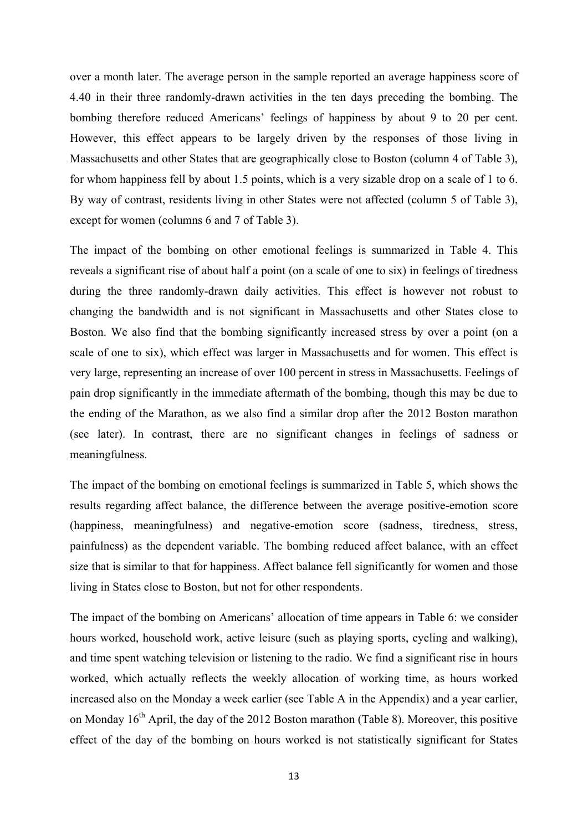over a month later. The average person in the sample reported an average happiness score of 4.40 in their three randomly-drawn activities in the ten days preceding the bombing. The bombing therefore reduced Americans' feelings of happiness by about 9 to 20 per cent. However, this effect appears to be largely driven by the responses of those living in Massachusetts and other States that are geographically close to Boston (column 4 of Table 3), for whom happiness fell by about 1.5 points, which is a very sizable drop on a scale of 1 to 6. By way of contrast, residents living in other States were not affected (column 5 of Table 3), except for women (columns 6 and 7 of Table 3).

The impact of the bombing on other emotional feelings is summarized in Table 4. This reveals a significant rise of about half a point (on a scale of one to six) in feelings of tiredness during the three randomly-drawn daily activities. This effect is however not robust to changing the bandwidth and is not significant in Massachusetts and other States close to Boston. We also find that the bombing significantly increased stress by over a point (on a scale of one to six), which effect was larger in Massachusetts and for women. This effect is very large, representing an increase of over 100 percent in stress in Massachusetts. Feelings of pain drop significantly in the immediate aftermath of the bombing, though this may be due to the ending of the Marathon, as we also find a similar drop after the 2012 Boston marathon (see later). In contrast, there are no significant changes in feelings of sadness or meaningfulness.

The impact of the bombing on emotional feelings is summarized in Table 5, which shows the results regarding affect balance, the difference between the average positive-emotion score (happiness, meaningfulness) and negative-emotion score (sadness, tiredness, stress, painfulness) as the dependent variable. The bombing reduced affect balance, with an effect size that is similar to that for happiness. Affect balance fell significantly for women and those living in States close to Boston, but not for other respondents.

The impact of the bombing on Americans' allocation of time appears in Table 6: we consider hours worked, household work, active leisure (such as playing sports, cycling and walking), and time spent watching television or listening to the radio. We find a significant rise in hours worked, which actually reflects the weekly allocation of working time, as hours worked increased also on the Monday a week earlier (see Table A in the Appendix) and a year earlier, on Monday  $16<sup>th</sup>$  April, the day of the 2012 Boston marathon (Table 8). Moreover, this positive effect of the day of the bombing on hours worked is not statistically significant for States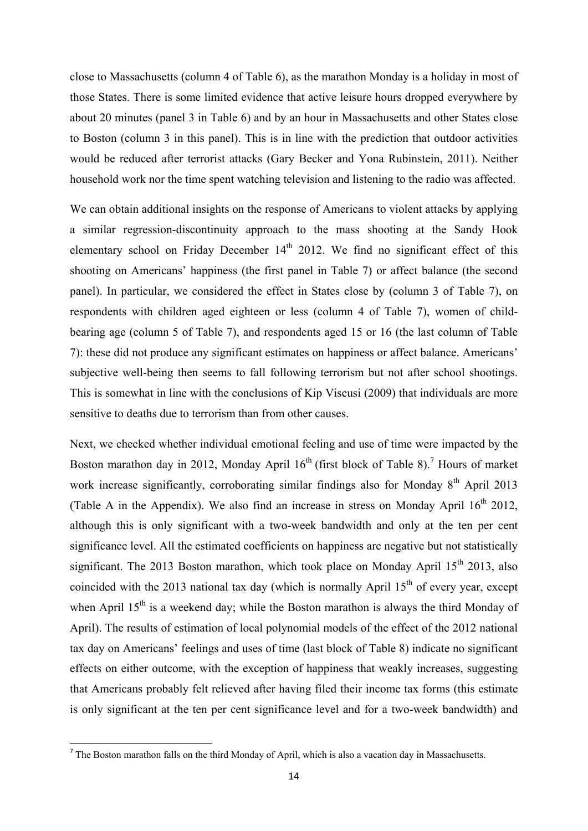close to Massachusetts (column 4 of Table 6), as the marathon Monday is a holiday in most of those States. There is some limited evidence that active leisure hours dropped everywhere by about 20 minutes (panel 3 in Table 6) and by an hour in Massachusetts and other States close to Boston (column 3 in this panel). This is in line with the prediction that outdoor activities would be reduced after terrorist attacks (Gary Becker and Yona Rubinstein, 2011). Neither household work nor the time spent watching television and listening to the radio was affected.

We can obtain additional insights on the response of Americans to violent attacks by applying a similar regression-discontinuity approach to the mass shooting at the Sandy Hook elementary school on Friday December  $14<sup>th</sup>$  2012. We find no significant effect of this shooting on Americans' happiness (the first panel in Table 7) or affect balance (the second panel). In particular, we considered the effect in States close by (column 3 of Table 7), on respondents with children aged eighteen or less (column 4 of Table 7), women of childbearing age (column 5 of Table 7), and respondents aged 15 or 16 (the last column of Table 7): these did not produce any significant estimates on happiness or affect balance. Americans' subjective well-being then seems to fall following terrorism but not after school shootings. This is somewhat in line with the conclusions of Kip Viscusi (2009) that individuals are more sensitive to deaths due to terrorism than from other causes.

Next, we checked whether individual emotional feeling and use of time were impacted by the Boston marathon day in 2012, Monday April  $16<sup>th</sup>$  (first block of Table 8).<sup>7</sup> Hours of market work increase significantly, corroborating similar findings also for Monday  $8<sup>th</sup>$  April 2013 (Table A in the Appendix). We also find an increase in stress on Monday April  $16<sup>th</sup> 2012$ , although this is only significant with a two-week bandwidth and only at the ten per cent significance level. All the estimated coefficients on happiness are negative but not statistically significant. The 2013 Boston marathon, which took place on Monday April  $15<sup>th</sup>$  2013, also coincided with the 2013 national tax day (which is normally April  $15<sup>th</sup>$  of every year, except when April 15<sup>th</sup> is a weekend day; while the Boston marathon is always the third Monday of April). The results of estimation of local polynomial models of the effect of the 2012 national tax day on Americans' feelings and uses of time (last block of Table 8) indicate no significant effects on either outcome, with the exception of happiness that weakly increases, suggesting that Americans probably felt relieved after having filed their income tax forms (this estimate is only significant at the ten per cent significance level and for a two-week bandwidth) and

 $<sup>7</sup>$  The Boston marathon falls on the third Monday of April, which is also a vacation day in Massachusetts.</sup>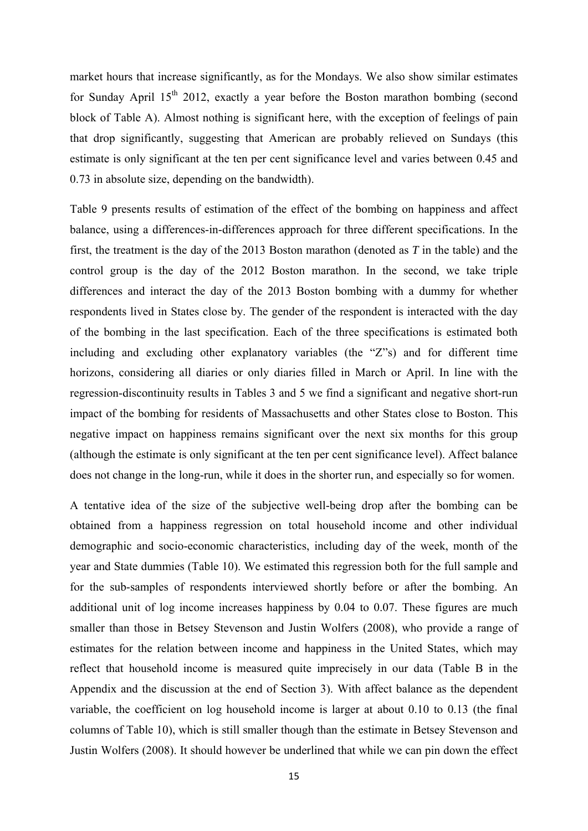market hours that increase significantly, as for the Mondays. We also show similar estimates for Sunday April 15<sup>th</sup> 2012, exactly a year before the Boston marathon bombing (second block of Table A). Almost nothing is significant here, with the exception of feelings of pain that drop significantly, suggesting that American are probably relieved on Sundays (this estimate is only significant at the ten per cent significance level and varies between 0.45 and 0.73 in absolute size, depending on the bandwidth).

Table 9 presents results of estimation of the effect of the bombing on happiness and affect balance, using a differences-in-differences approach for three different specifications. In the first, the treatment is the day of the 2013 Boston marathon (denoted as *T* in the table) and the control group is the day of the 2012 Boston marathon. In the second, we take triple differences and interact the day of the 2013 Boston bombing with a dummy for whether respondents lived in States close by. The gender of the respondent is interacted with the day of the bombing in the last specification. Each of the three specifications is estimated both including and excluding other explanatory variables (the "Z"s) and for different time horizons, considering all diaries or only diaries filled in March or April. In line with the regression-discontinuity results in Tables 3 and 5 we find a significant and negative short-run impact of the bombing for residents of Massachusetts and other States close to Boston. This negative impact on happiness remains significant over the next six months for this group (although the estimate is only significant at the ten per cent significance level). Affect balance does not change in the long-run, while it does in the shorter run, and especially so for women.

A tentative idea of the size of the subjective well-being drop after the bombing can be obtained from a happiness regression on total household income and other individual demographic and socio-economic characteristics, including day of the week, month of the year and State dummies (Table 10). We estimated this regression both for the full sample and for the sub-samples of respondents interviewed shortly before or after the bombing. An additional unit of log income increases happiness by 0.04 to 0.07. These figures are much smaller than those in Betsey Stevenson and Justin Wolfers (2008), who provide a range of estimates for the relation between income and happiness in the United States, which may reflect that household income is measured quite imprecisely in our data (Table B in the Appendix and the discussion at the end of Section 3). With affect balance as the dependent variable, the coefficient on log household income is larger at about 0.10 to 0.13 (the final columns of Table 10), which is still smaller though than the estimate in Betsey Stevenson and Justin Wolfers (2008). It should however be underlined that while we can pin down the effect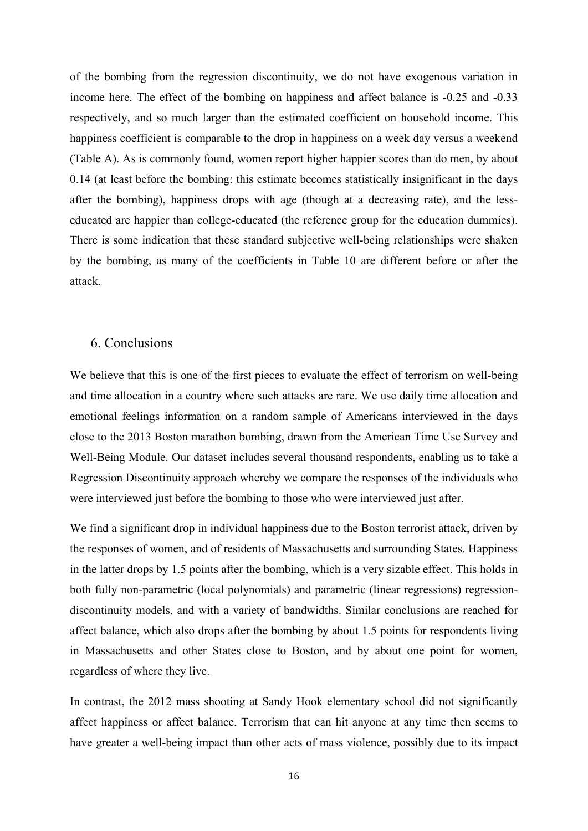of the bombing from the regression discontinuity, we do not have exogenous variation in income here. The effect of the bombing on happiness and affect balance is -0.25 and -0.33 respectively, and so much larger than the estimated coefficient on household income. This happiness coefficient is comparable to the drop in happiness on a week day versus a weekend (Table A). As is commonly found, women report higher happier scores than do men, by about 0.14 (at least before the bombing: this estimate becomes statistically insignificant in the days after the bombing), happiness drops with age (though at a decreasing rate), and the lesseducated are happier than college-educated (the reference group for the education dummies). There is some indication that these standard subjective well-being relationships were shaken by the bombing, as many of the coefficients in Table 10 are different before or after the attack.

#### 6. Conclusions

We believe that this is one of the first pieces to evaluate the effect of terrorism on well-being and time allocation in a country where such attacks are rare. We use daily time allocation and emotional feelings information on a random sample of Americans interviewed in the days close to the 2013 Boston marathon bombing, drawn from the American Time Use Survey and Well-Being Module. Our dataset includes several thousand respondents, enabling us to take a Regression Discontinuity approach whereby we compare the responses of the individuals who were interviewed just before the bombing to those who were interviewed just after.

We find a significant drop in individual happiness due to the Boston terrorist attack, driven by the responses of women, and of residents of Massachusetts and surrounding States. Happiness in the latter drops by 1.5 points after the bombing, which is a very sizable effect. This holds in both fully non-parametric (local polynomials) and parametric (linear regressions) regressiondiscontinuity models, and with a variety of bandwidths. Similar conclusions are reached for affect balance, which also drops after the bombing by about 1.5 points for respondents living in Massachusetts and other States close to Boston, and by about one point for women, regardless of where they live.

In contrast, the 2012 mass shooting at Sandy Hook elementary school did not significantly affect happiness or affect balance. Terrorism that can hit anyone at any time then seems to have greater a well-being impact than other acts of mass violence, possibly due to its impact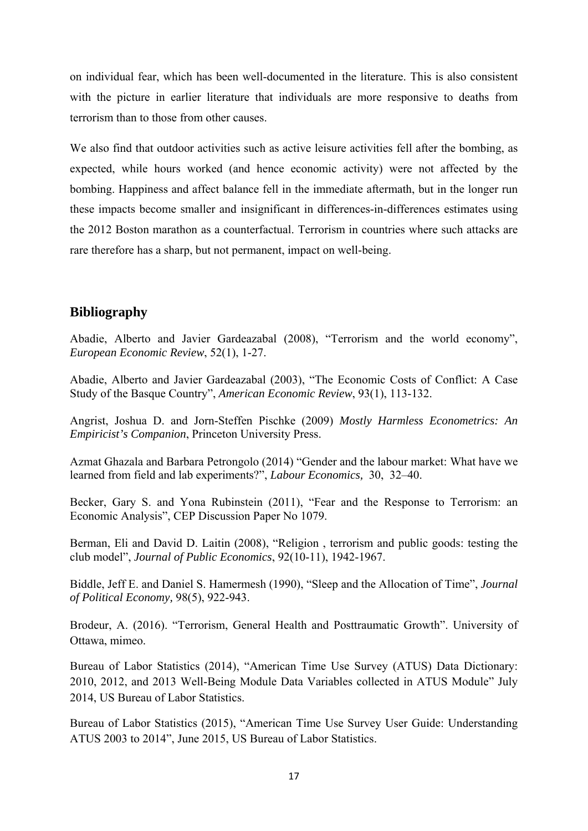on individual fear, which has been well-documented in the literature. This is also consistent with the picture in earlier literature that individuals are more responsive to deaths from terrorism than to those from other causes.

We also find that outdoor activities such as active leisure activities fell after the bombing, as expected, while hours worked (and hence economic activity) were not affected by the bombing. Happiness and affect balance fell in the immediate aftermath, but in the longer run these impacts become smaller and insignificant in differences-in-differences estimates using the 2012 Boston marathon as a counterfactual. Terrorism in countries where such attacks are rare therefore has a sharp, but not permanent, impact on well-being.

## **Bibliography**

Abadie, Alberto and Javier Gardeazabal (2008), "Terrorism and the world economy", *European Economic Review*, 52(1), 1-27.

Abadie, Alberto and Javier Gardeazabal (2003), "The Economic Costs of Conflict: A Case Study of the Basque Country", *American Economic Review*, 93(1), 113-132.

Angrist, Joshua D. and Jorn-Steffen Pischke (2009) *Mostly Harmless Econometrics: An Empiricist's Companion*, Princeton University Press.

Azmat Ghazala and Barbara Petrongolo (2014) "Gender and the labour market: What have we learned from field and lab experiments?", *Labour Economics,* 30, 32–40.

Becker, Gary S. and Yona Rubinstein (2011), "Fear and the Response to Terrorism: an Economic Analysis", CEP Discussion Paper No 1079.

Berman, Eli and David D. Laitin (2008), "Religion , terrorism and public goods: testing the club model", *Journal of Public Economics*, 92(10-11), 1942-1967.

Biddle, Jeff E. and Daniel S. Hamermesh (1990), "Sleep and the Allocation of Time", *Journal of Political Economy,* 98(5), 922-943.

Brodeur, A. (2016). "Terrorism, General Health and Posttraumatic Growth". University of Ottawa, mimeo.

Bureau of Labor Statistics (2014), "American Time Use Survey (ATUS) Data Dictionary: 2010, 2012, and 2013 Well-Being Module Data Variables collected in ATUS Module" July 2014, US Bureau of Labor Statistics.

Bureau of Labor Statistics (2015), "American Time Use Survey User Guide: Understanding ATUS 2003 to 2014", June 2015, US Bureau of Labor Statistics.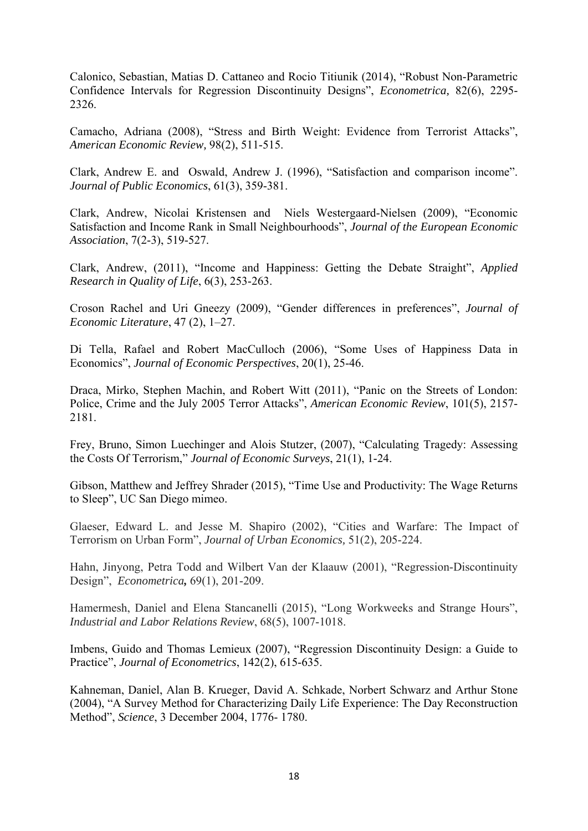Calonico, Sebastian, Matias D. Cattaneo and Rocio Titiunik (2014), "Robust Non-Parametric Confidence Intervals for Regression Discontinuity Designs", *Econometrica,* 82(6), 2295- 2326.

Camacho, Adriana (2008), "Stress and Birth Weight: Evidence from Terrorist Attacks", *American Economic Review,* 98(2), 511-515.

Clark, Andrew E. and Oswald, Andrew J. (1996), "Satisfaction and comparison income". *Journal of Public Economics*, 61(3), 359-381.

Clark, Andrew, Nicolai Kristensen and Niels Westergaard-Nielsen (2009), "Economic Satisfaction and Income Rank in Small Neighbourhoods", *Journal of the European Economic Association*, 7(2-3), 519-527.

Clark, Andrew, (2011), "Income and Happiness: Getting the Debate Straight", *Applied Research in Quality of Life*, 6(3), 253-263.

Croson Rachel and Uri Gneezy (2009), "Gender differences in preferences", *Journal of Economic Literature*, 47 (2), 1–27.

Di Tella, Rafael and Robert MacCulloch (2006), "Some Uses of Happiness Data in Economics", *Journal of Economic Perspectives*, 20(1), 25-46.

Draca, Mirko, Stephen Machin, and Robert Witt (2011), "Panic on the Streets of London: Police, Crime and the July 2005 Terror Attacks", *American Economic Review*, 101(5), 2157- 2181.

Frey, Bruno, Simon Luechinger and Alois Stutzer, (2007), "Calculating Tragedy: Assessing the Costs Of Terrorism," *Journal of Economic Surveys*, 21(1), 1-24.

Gibson, Matthew and Jeffrey Shrader (2015), "Time Use and Productivity: The Wage Returns to Sleep", UC San Diego mimeo.

Glaeser, Edward L. and Jesse M. Shapiro (2002), "Cities and Warfare: The Impact of Terrorism on Urban Form", *Journal of Urban Economics,* 51(2), 205-224.

Hahn, Jinyong, Petra Todd and Wilbert Van der Klaauw (2001), "Regression-Discontinuity Design", *Econometrica,* 69(1), 201-209.

Hamermesh, Daniel and Elena Stancanelli (2015), "Long Workweeks and Strange Hours", *Industrial and Labor Relations Review*, 68(5), 1007-1018.

Imbens, Guido and Thomas Lemieux (2007), "Regression Discontinuity Design: a Guide to Practice", *Journal of Econometrics*, 142(2), 615-635.

Kahneman, Daniel, Alan B. Krueger, David A. Schkade, Norbert Schwarz and Arthur Stone (2004), "A Survey Method for Characterizing Daily Life Experience: The Day Reconstruction Method", *Science*, 3 December 2004, 1776- 1780.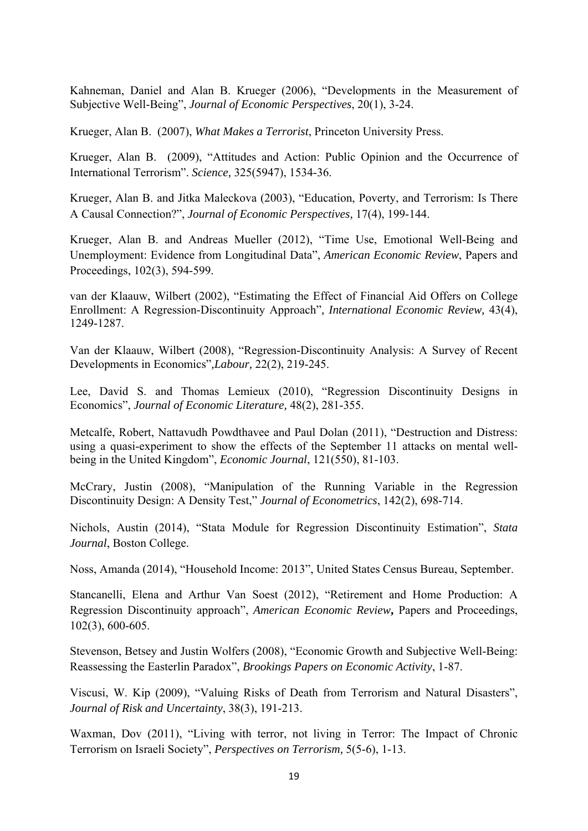Kahneman, Daniel and Alan B. Krueger (2006), "Developments in the Measurement of Subjective Well-Being", *Journal of Economic Perspectives*, 20(1), 3-24.

Krueger, Alan B. (2007), *What Makes a Terrorist*, Princeton University Press.

Krueger, Alan B. (2009), "Attitudes and Action: Public Opinion and the Occurrence of International Terrorism". *Science,* 325(5947), 1534-36.

Krueger, Alan B. and Jitka Maleckova (2003), "Education, Poverty, and Terrorism: Is There A Causal Connection?", *Journal of Economic Perspectives,* 17(4), 199-144.

Krueger, Alan B. and Andreas Mueller (2012), "Time Use, Emotional Well-Being and Unemployment: Evidence from Longitudinal Data", *American Economic Review*, Papers and Proceedings, 102(3), 594-599.

van der Klaauw, Wilbert (2002), "Estimating the Effect of Financial Aid Offers on College Enrollment: A Regression-Discontinuity Approach"*, International Economic Review,* 43(4), 1249-1287.

Van der Klaauw, Wilbert (2008), "Regression-Discontinuity Analysis: A Survey of Recent Developments in Economics"*,Labour,* 22(2), 219-245.

Lee, David S. and Thomas Lemieux (2010), "Regression Discontinuity Designs in Economics", *Journal of Economic Literature,* 48(2), 281-355.

Metcalfe, Robert, Nattavudh Powdthavee and Paul Dolan (2011), "Destruction and Distress: using a quasi-experiment to show the effects of the September 11 attacks on mental wellbeing in the United Kingdom", *Economic Journal*, 121(550), 81-103.

McCrary, Justin (2008), "Manipulation of the Running Variable in the Regression Discontinuity Design: A Density Test," *Journal of Econometrics*, 142(2), 698-714.

Nichols, Austin (2014), "Stata Module for Regression Discontinuity Estimation", *Stata Journal*, Boston College.

Noss, Amanda (2014), "Household Income: 2013", United States Census Bureau, September.

Stancanelli, Elena and Arthur Van Soest (2012), "Retirement and Home Production: A Regression Discontinuity approach", *American Economic Review***,** Papers and Proceedings, 102(3), 600-605.

Stevenson, Betsey and Justin Wolfers (2008), "Economic Growth and Subjective Well-Being: Reassessing the Easterlin Paradox", *Brookings Papers on Economic Activity*, 1-87.

Viscusi, W. Kip (2009), "Valuing Risks of Death from Terrorism and Natural Disasters", *Journal of Risk and Uncertainty*, 38(3), 191-213.

Waxman, Dov (2011), "Living with terror, not living in Terror: The Impact of Chronic Terrorism on Israeli Society", *Perspectives on Terrorism,* 5(5-6), 1-13.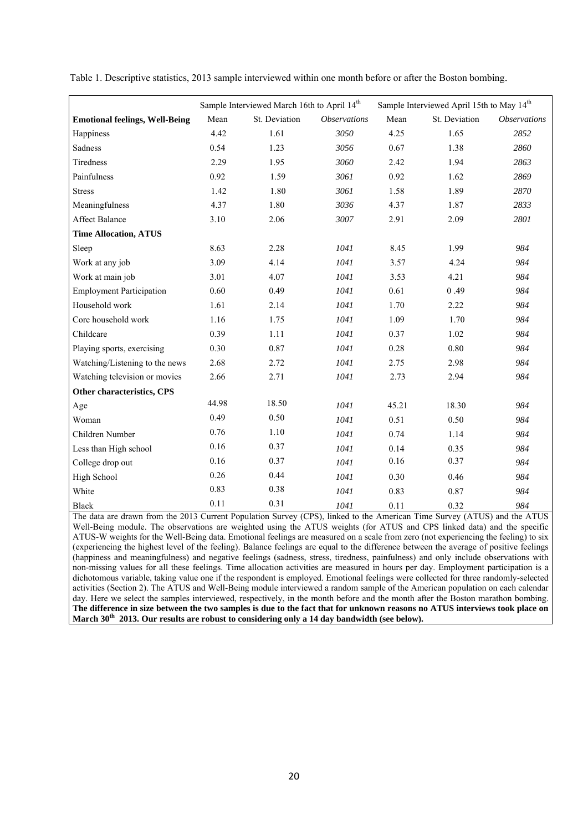|                                       |       | Sample Interviewed March 16th to April 14 <sup>th</sup> |                            |       | Sample Interviewed April 15th to May 14 <sup>th</sup> |                            |
|---------------------------------------|-------|---------------------------------------------------------|----------------------------|-------|-------------------------------------------------------|----------------------------|
| <b>Emotional feelings, Well-Being</b> | Mean  | St. Deviation                                           | <i><b>Observations</b></i> | Mean  | St. Deviation                                         | <i><b>Observations</b></i> |
| Happiness                             | 4.42  | 1.61                                                    | 3050                       | 4.25  | 1.65                                                  | 2852                       |
| Sadness                               | 0.54  | 1.23                                                    | 3056                       | 0.67  | 1.38                                                  | 2860                       |
| Tiredness                             | 2.29  | 1.95                                                    | 3060                       | 2.42  | 1.94                                                  | 2863                       |
| Painfulness                           | 0.92  | 1.59                                                    | 3061                       | 0.92  | 1.62                                                  | 2869                       |
| <b>Stress</b>                         | 1.42  | 1.80                                                    | 3061                       | 1.58  | 1.89                                                  | 2870                       |
| Meaningfulness                        | 4.37  | 1.80                                                    | 3036                       | 4.37  | 1.87                                                  | 2833                       |
| <b>Affect Balance</b>                 | 3.10  | 2.06                                                    | 3007                       | 2.91  | 2.09                                                  | 2801                       |
| <b>Time Allocation, ATUS</b>          |       |                                                         |                            |       |                                                       |                            |
| Sleep                                 | 8.63  | 2.28                                                    | 1041                       | 8.45  | 1.99                                                  | 984                        |
| Work at any job                       | 3.09  | 4.14                                                    | 1041                       | 3.57  | 4.24                                                  | 984                        |
| Work at main job                      | 3.01  | 4.07                                                    | 1041                       | 3.53  | 4.21                                                  | 984                        |
| <b>Employment Participation</b>       | 0.60  | 0.49                                                    | 1041                       | 0.61  | 0.49                                                  | 984                        |
| Household work                        | 1.61  | 2.14                                                    | 1041                       | 1.70  | 2.22                                                  | 984                        |
| Core household work                   | 1.16  | 1.75                                                    | 1041                       | 1.09  | 1.70                                                  | 984                        |
| Childcare                             | 0.39  | 1.11                                                    | 1041                       | 0.37  | 1.02                                                  | 984                        |
| Playing sports, exercising            | 0.30  | 0.87                                                    | 1041                       | 0.28  | 0.80                                                  | 984                        |
| Watching/Listening to the news        | 2.68  | 2.72                                                    | 1041                       | 2.75  | 2.98                                                  | 984                        |
| Watching television or movies         | 2.66  | 2.71                                                    | 1041                       | 2.73  | 2.94                                                  | 984                        |
| Other characteristics, CPS            |       |                                                         |                            |       |                                                       |                            |
| Age                                   | 44.98 | 18.50                                                   | 1041                       | 45.21 | 18.30                                                 | 984                        |
| Woman                                 | 0.49  | 0.50                                                    | 1041                       | 0.51  | 0.50                                                  | 984                        |
| Children Number                       | 0.76  | 1.10                                                    | 1041                       | 0.74  | 1.14                                                  | 984                        |
| Less than High school                 | 0.16  | 0.37                                                    | 1041                       | 0.14  | 0.35                                                  | 984                        |
| College drop out                      | 0.16  | 0.37                                                    | 1041                       | 0.16  | 0.37                                                  | 984                        |
| High School                           | 0.26  | 0.44                                                    | 1041                       | 0.30  | 0.46                                                  | 984                        |
| White                                 | 0.83  | 0.38                                                    | 1041                       | 0.83  | 0.87                                                  | 984                        |
| <b>Black</b>                          | 0.11  | 0.31                                                    | 1041                       | 0.11  | 0.32                                                  | 984                        |

Table 1. Descriptive statistics, 2013 sample interviewed within one month before or after the Boston bombing.

The data are drawn from the 2013 Current Population Survey (CPS), linked to the American Time Survey (ATUS) and the ATUS Well-Being module. The observations are weighted using the ATUS weights (for ATUS and CPS linked data) and the specific ATUS-W weights for the Well-Being data. Emotional feelings are measured on a scale from zero (not experiencing the feeling) to six (experiencing the highest level of the feeling). Balance feelings are equal to the difference between the average of positive feelings (happiness and meaningfulness) and negative feelings (sadness, stress, tiredness, painfulness) and only include observations with non-missing values for all these feelings. Time allocation activities are measured in hours per day. Employment participation is a dichotomous variable, taking value one if the respondent is employed. Emotional feelings were collected for three randomly-selected activities (Section 2). The ATUS and Well-Being module interviewed a random sample of the American population on each calendar day. Here we select the samples interviewed, respectively, in the month before and the month after the Boston marathon bombing. **The difference in size between the two samples is due to the fact that for unknown reasons no ATUS interviews took place on**  March 30<sup>th</sup> 2013. Our results are robust to considering only a 14 day bandwidth (see below).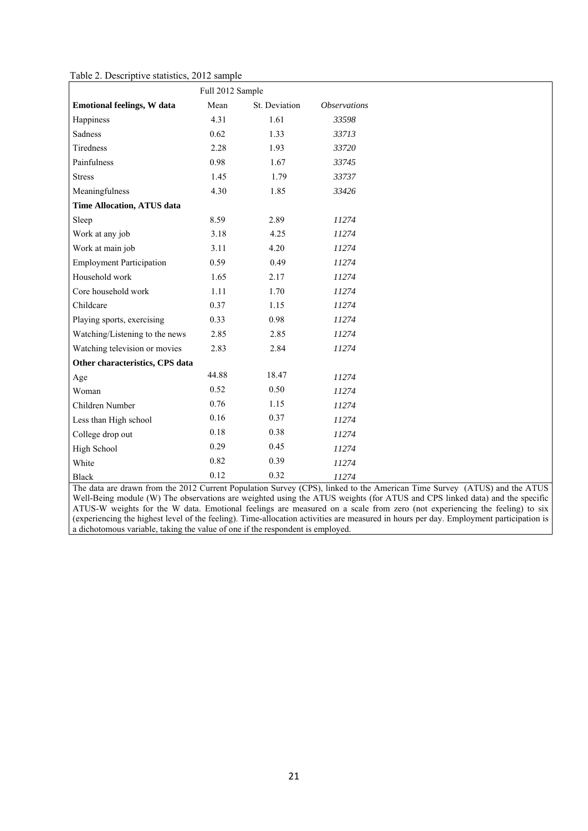Table 2. Descriptive statistics, 2012 sample

|                                   | Full 2012 Sample |               |                     |
|-----------------------------------|------------------|---------------|---------------------|
| <b>Emotional feelings, W data</b> | Mean             | St. Deviation | <b>Observations</b> |
| Happiness                         | 4.31             | 1.61          | 33598               |
| Sadness                           | 0.62             | 1.33          | 33713               |
| Tiredness                         | 2.28             | 1.93          | 33720               |
| Painfulness                       | 0.98             | 1.67          | 33745               |
| <b>Stress</b>                     | 1.45             | 1.79          | 33737               |
| Meaningfulness                    | 4.30             | 1.85          | 33426               |
| <b>Time Allocation, ATUS data</b> |                  |               |                     |
| Sleep                             | 8.59             | 2.89          | 11274               |
| Work at any job                   | 3.18             | 4.25          | 11274               |
| Work at main job                  | 3.11             | 4.20          | 11274               |
| <b>Employment Participation</b>   | 0.59             | 0.49          | 11274               |
| Household work                    | 1.65             | 2.17          | 11274               |
| Core household work               | 1.11             | 1.70          | 11274               |
| Childcare                         | 0.37             | 1.15          | 11274               |
| Playing sports, exercising        | 0.33             | 0.98          | 11274               |
| Watching/Listening to the news    | 2.85             | 2.85          | 11274               |
| Watching television or movies     | 2.83             | 2.84          | 11274               |
| Other characteristics, CPS data   |                  |               |                     |
| Age                               | 44.88            | 18.47         | 11274               |
| Woman                             | 0.52             | 0.50          | 11274               |
| Children Number                   | 0.76             | 1.15          | 11274               |
| Less than High school             | 0.16             | 0.37          | 11274               |
| College drop out                  | 0.18             | 0.38          | 11274               |
| High School                       | 0.29             | 0.45          | 11274               |
| White                             | 0.82             | 0.39          | 11274               |
| Black                             | 0.12             | 0.32          | 11274               |

The data are drawn from the 2012 Current Population Survey (CPS), linked to the American Time Survey (ATUS) and the ATUS Well-Being module (W) The observations are weighted using the ATUS weights (for ATUS and CPS linked data) and the specific ATUS-W weights for the W data. Emotional feelings are measured on a scale from zero (not experiencing the feeling) to six (experiencing the highest level of the feeling). Time-allocation activities are measured in hours per day. Employment participation is a dichotomous variable, taking the value of one if the respondent is employed.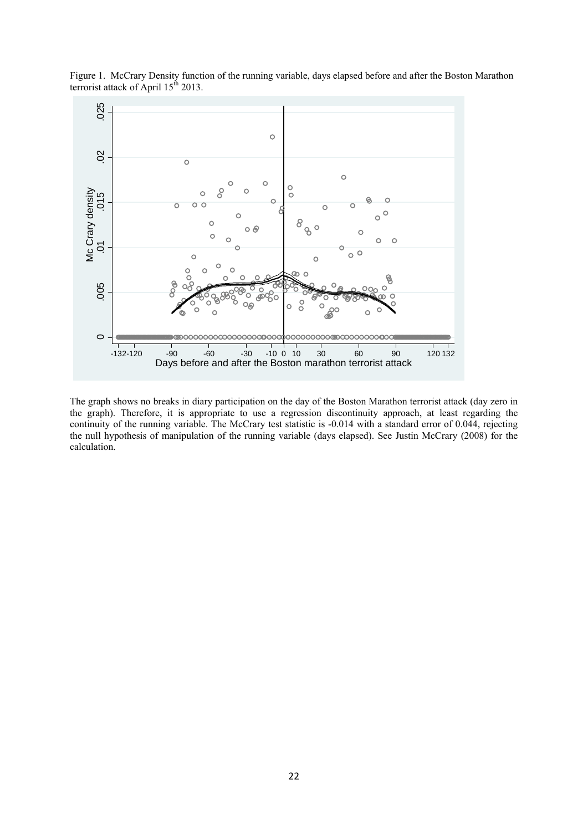

Figure 1. McCrary Density function of the running variable, days elapsed before and after the Boston Marathon terrorist attack of April  $15<sup>th</sup> 2013$ .

The graph shows no breaks in diary participation on the day of the Boston Marathon terrorist attack (day zero in the graph). Therefore, it is appropriate to use a regression discontinuity approach, at least regarding the continuity of the running variable. The McCrary test statistic is -0.014 with a standard error of 0.044, rejecting the null hypothesis of manipulation of the running variable (days elapsed). See Justin McCrary (2008) for the calculation.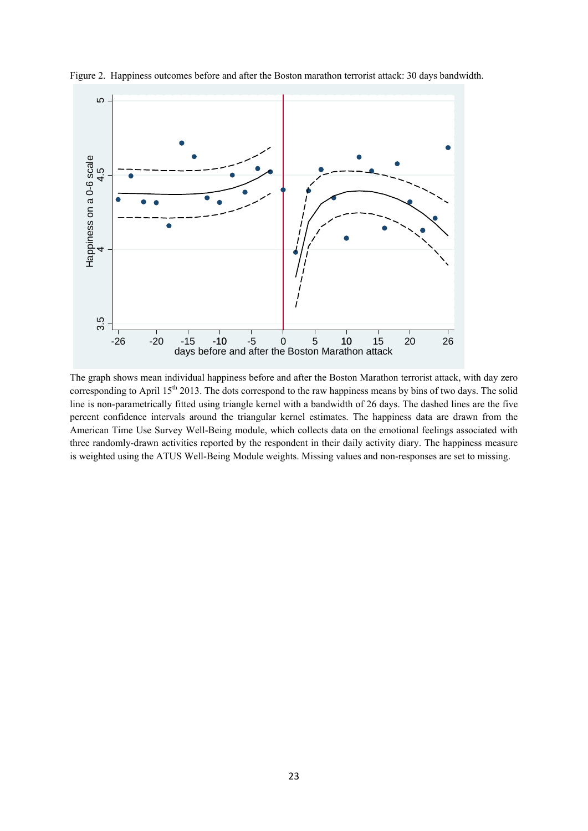

Figure 2. Happiness outcomes before and after the Boston marathon terrorist attack: 30 days bandwidth.

The graph shows mean individual happiness before and after the Boston Marathon terrorist attack, with day zero corresponding to April  $15<sup>th</sup> 2013$ . The dots correspond to the raw happiness means by bins of two days. The solid line is non-parametrically fitted using triangle kernel with a bandwidth of 26 days. The dashed lines are the five percent confidence intervals around the triangular kernel estimates. The happiness data are drawn from the American Time Use Survey Well-Being module, which collects data on the emotional feelings associated with three randomly-drawn activities reported by the respondent in their daily activity diary. The happiness measure is weighted using the ATUS Well-Being Module weights. Missing values and non-responses are set to missing. com<br>
The grap<br>
correspo<br>
line is no<br>
percent<br>
America<br>
three ran<br>
is weight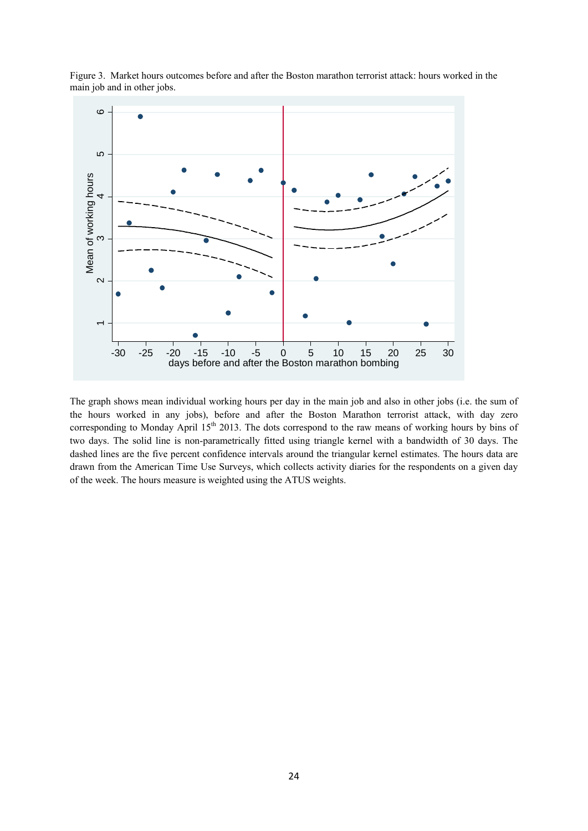

Figure 3. Market hours outcomes before and after the Boston marathon terrorist attack: hours worked in the main job and in other jobs.

The graph shows mean individual working hours per day in the main job and also in other jobs (i.e. the sum of the hours worked in any jobs), before and after the Boston Marathon terrorist attack, with day zero corresponding to Monday April 15<sup>th</sup> 2013. The dots correspond to the raw means of working hours by bins of two days. The solid line is non-parametrically fitted using triangle kernel with a bandwidth of 30 days. The dashed lines are the five percent confidence intervals around the triangular kernel estimates. The hours data are drawn from the American Time Use Surveys, which collects activity diaries for the respondents on a given day of the week. The hours measure is weighted using the ATUS weights.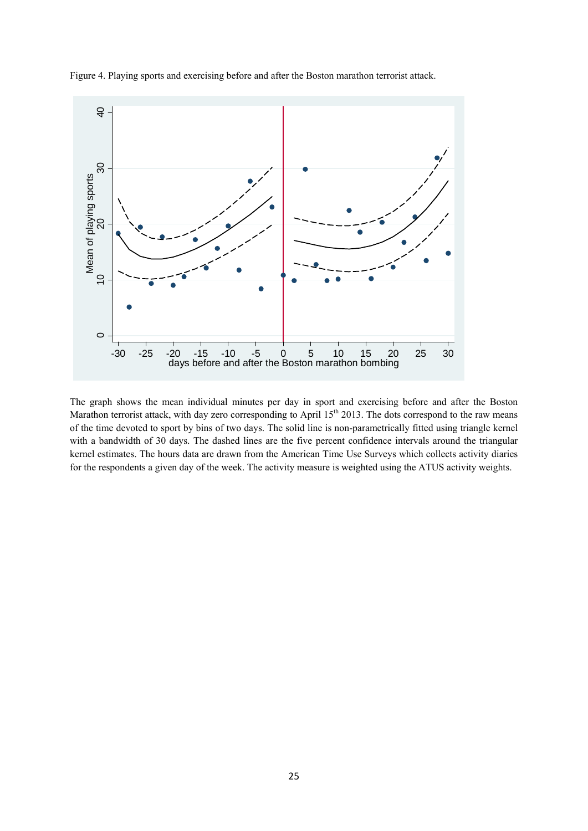

Figure 4. Playing sports and exercising before and after the Boston marathon terrorist attack.

The graph shows the mean individual minutes per day in sport and exercising before and after the Boston Marathon terrorist attack, with day zero corresponding to April  $15<sup>th</sup> 2013$ . The dots correspond to the raw means of the time devoted to sport by bins of two days. The solid line is non-parametrically fitted using triangle kernel with a bandwidth of 30 days. The dashed lines are the five percent confidence intervals around the triangular kernel estimates. The hours data are drawn from the American Time Use Surveys which collects activity diaries for the respondents a given day of the week. The activity measure is weighted using the ATUS activity weights.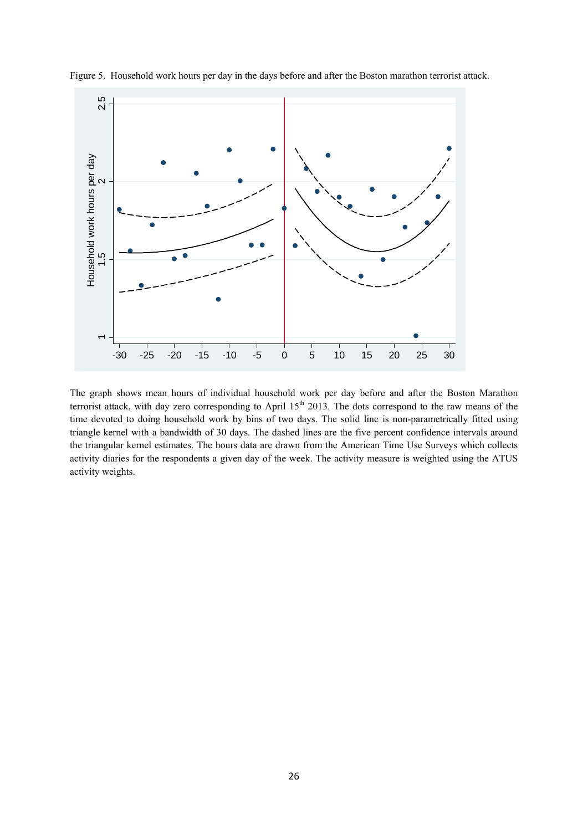

Figure 5. Household work hours per day in the days before and after the Boston marathon terrorist attack.

The graph shows mean hours of individual household work per day before and after the Boston Marathon terrorist attack, with day zero corresponding to April  $15<sup>th</sup>$  2013. The dots correspond to the raw means of the time devoted to doing household work by bins of two days. The solid line is non-parametrically fitted using triangle kernel with a bandwidth of 30 days. The dashed lines are the five percent confidence intervals around the triangular kernel estimates. The hours data are drawn from the American Time Use Surveys which collects activity diaries for the respondents a given day of the week. The activity measure is weighted using the ATUS activity weights.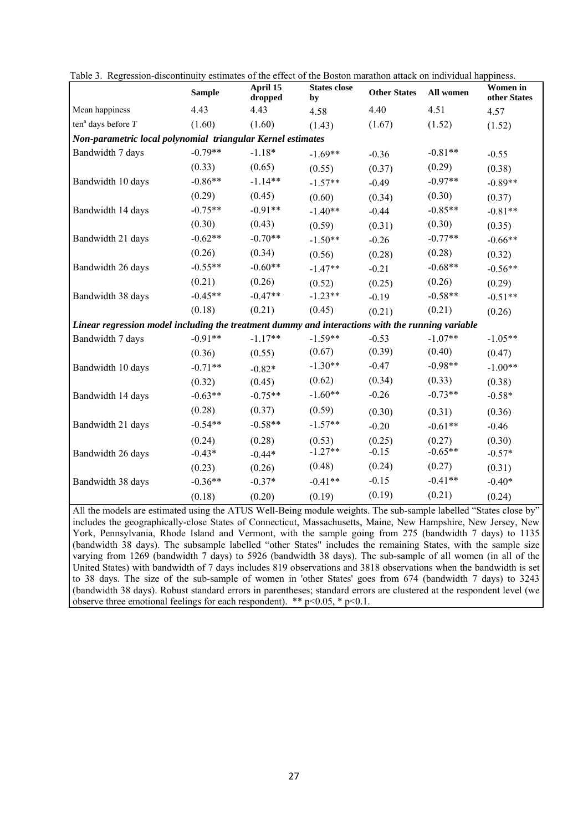|                                                                                                                  | <b>Sample</b> | April 15<br>dropped | <b>States close</b><br>by | <b>Other States</b> | All women | Women in<br>other States |
|------------------------------------------------------------------------------------------------------------------|---------------|---------------------|---------------------------|---------------------|-----------|--------------------------|
| Mean happiness                                                                                                   | 4.43          | 4.43                | 4.58                      | 4.40                | 4.51      | 4.57                     |
| ten <sup>a</sup> days before $T$                                                                                 | (1.60)        | (1.60)              | (1.43)                    | (1.67)              | (1.52)    | (1.52)                   |
| Non-parametric local polynomial triangular Kernel estimates                                                      |               |                     |                           |                     |           |                          |
| Bandwidth 7 days                                                                                                 | $-0.79**$     | $-1.18*$            | $-1.69**$                 | $-0.36$             | $-0.81**$ | $-0.55$                  |
|                                                                                                                  | (0.33)        | (0.65)              | (0.55)                    | (0.37)              | (0.29)    | (0.38)                   |
| Bandwidth 10 days                                                                                                | $-0.86**$     | $-1.14**$           | $-1.57**$                 | $-0.49$             | $-0.97**$ | $-0.89**$                |
|                                                                                                                  | (0.29)        | (0.45)              | (0.60)                    | (0.34)              | (0.30)    | (0.37)                   |
| Bandwidth 14 days                                                                                                | $-0.75**$     | $-0.91**$           | $-1.40**$                 | $-0.44$             | $-0.85**$ | $-0.81**$                |
|                                                                                                                  | (0.30)        | (0.43)              | (0.59)                    | (0.31)              | (0.30)    | (0.35)                   |
| Bandwidth 21 days                                                                                                | $-0.62**$     | $-0.70**$           | $-1.50**$                 | $-0.26$             | $-0.77**$ | $-0.66**$                |
|                                                                                                                  | (0.26)        | (0.34)              | (0.56)                    | (0.28)              | (0.28)    | (0.32)                   |
| Bandwidth 26 days                                                                                                | $-0.55**$     | $-0.60**$           | $-1.47**$                 | $-0.21$             | $-0.68**$ | $-0.56**$                |
|                                                                                                                  | (0.21)        | (0.26)              | (0.52)                    | (0.25)              | (0.26)    | (0.29)                   |
| Bandwidth 38 days                                                                                                | $-0.45**$     | $-0.47**$           | $-1.23**$                 | $-0.19$             | $-0.58**$ | $-0.51**$                |
|                                                                                                                  | (0.18)        | (0.21)              | (0.45)                    | (0.21)              | (0.21)    | (0.26)                   |
| Linear regression model including the treatment dummy and interactions with the running variable                 |               |                     |                           |                     |           |                          |
| Bandwidth 7 days                                                                                                 | $-0.91**$     | $-1.17**$           | $-1.59**$                 | $-0.53$             | $-1.07**$ | $-1.05**$                |
|                                                                                                                  | (0.36)        | (0.55)              | (0.67)                    | (0.39)              | (0.40)    | (0.47)                   |
| Bandwidth 10 days                                                                                                | $-0.71**$     | $-0.82*$            | $-1.30**$                 | $-0.47$             | $-0.98**$ | $-1.00**$                |
|                                                                                                                  | (0.32)        | (0.45)              | (0.62)                    | (0.34)              | (0.33)    | (0.38)                   |
| Bandwidth 14 days                                                                                                | $-0.63**$     | $-0.75**$           | $-1.60**$                 | $-0.26$             | $-0.73**$ | $-0.58*$                 |
|                                                                                                                  | (0.28)        | (0.37)              | (0.59)                    | (0.30)              | (0.31)    | (0.36)                   |
| Bandwidth 21 days                                                                                                | $-0.54**$     | $-0.58**$           | $-1.57**$                 | $-0.20$             | $-0.61**$ | $-0.46$                  |
|                                                                                                                  | (0.24)        | (0.28)              | (0.53)                    | (0.25)              | (0.27)    | (0.30)                   |
| Bandwidth 26 days                                                                                                | $-0.43*$      | $-0.44*$            | $-1.27**$                 | $-0.15$             | $-0.65**$ | $-0.57*$                 |
|                                                                                                                  | (0.23)        | (0.26)              | (0.48)                    | (0.24)              | (0.27)    | (0.31)                   |
| Bandwidth 38 days                                                                                                | $-0.36**$     | $-0.37*$            | $-0.41**$                 | $-0.15$             | $-0.41**$ | $-0.40*$                 |
|                                                                                                                  | (0.18)        | (0.20)              | (0.19)                    | (0.19)              | (0.21)    | (0.24)                   |
| All the models are estimated using the ATUS Well-Being module weights. The sub-sample labelled "States close by" |               |                     |                           |                     |           |                          |

| Table 3. Regression-discontinuity estimates of the effect of the Boston marathon attack on individual happiness. |  |  |  |  |  |
|------------------------------------------------------------------------------------------------------------------|--|--|--|--|--|
|------------------------------------------------------------------------------------------------------------------|--|--|--|--|--|

All the models are estimated using the ATUS Well-Being module weights. The sub-sample labelled "States close by" includes the geographically-close States of Connecticut, Massachusetts, Maine, New Hampshire, New Jersey, New York, Pennsylvania, Rhode Island and Vermont, with the sample going from 275 (bandwidth 7 days) to 1135 (bandwidth 38 days). The subsample labelled "other States" includes the remaining States, with the sample size varying from 1269 (bandwidth 7 days) to 5926 (bandwidth 38 days). The sub-sample of all women (in all of the United States) with bandwidth of 7 days includes 819 observations and 3818 observations when the bandwidth is set to 38 days. The size of the sub-sample of women in 'other States' goes from 674 (bandwidth 7 days) to 3243 (bandwidth 38 days). Robust standard errors in parentheses; standard errors are clustered at the respondent level (we observe three emotional feelings for each respondent). \*\*  $p<0.05$ , \*  $p<0.1$ .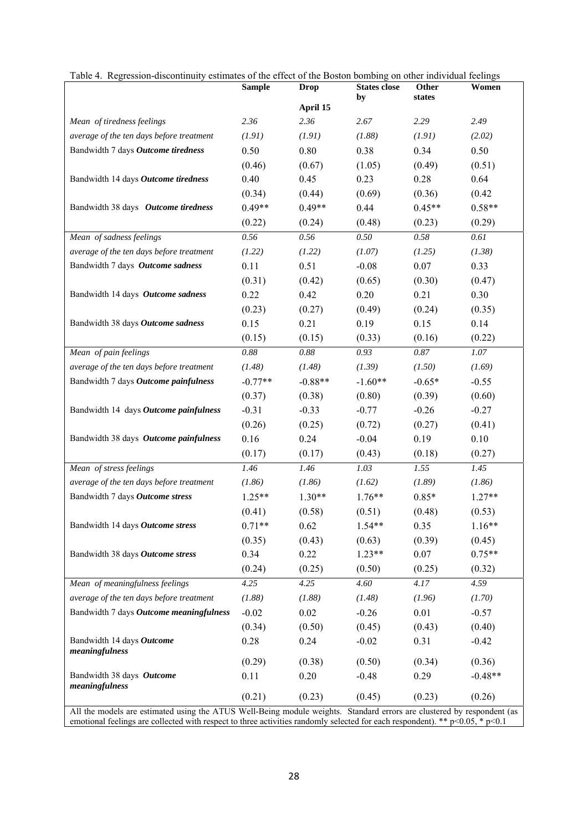|                                                                                                                        | <b>Sample</b> | <b>Drop</b> | <b>States close</b> | Other    | Women     |
|------------------------------------------------------------------------------------------------------------------------|---------------|-------------|---------------------|----------|-----------|
|                                                                                                                        |               | April 15    | by                  | states   |           |
| Mean of tiredness feelings                                                                                             | 2.36          | 2.36        | 2.67                | 2.29     | 2.49      |
| average of the ten days before treatment                                                                               | (1.91)        | (1.91)      | (1.88)              | (1.91)   | (2.02)    |
| Bandwidth 7 days Outcome tiredness                                                                                     | 0.50          | 0.80        | 0.38                | 0.34     | 0.50      |
|                                                                                                                        | (0.46)        | (0.67)      | (1.05)              | (0.49)   | (0.51)    |
| Bandwidth 14 days Outcome tiredness                                                                                    | 0.40          | 0.45        | 0.23                | 0.28     | 0.64      |
|                                                                                                                        | (0.34)        | (0.44)      | (0.69)              | (0.36)   | (0.42)    |
| Bandwidth 38 days Outcome tiredness                                                                                    | $0.49**$      | $0.49**$    | 0.44                | $0.45**$ | $0.58**$  |
|                                                                                                                        | (0.22)        | (0.24)      | (0.48)              | (0.23)   | (0.29)    |
| Mean of sadness feelings                                                                                               | 0.56          | 0.56        | 0.50                | 0.58     | 0.61      |
| average of the ten days before treatment                                                                               | (1.22)        | (1.22)      | (1.07)              | (1.25)   | (1.38)    |
| Bandwidth 7 days Outcome sadness                                                                                       | 0.11          | 0.51        | $-0.08$             | 0.07     | 0.33      |
|                                                                                                                        | (0.31)        | (0.42)      | (0.65)              | (0.30)   | (0.47)    |
| Bandwidth 14 days Outcome sadness                                                                                      | 0.22          | 0.42        | 0.20                | 0.21     | 0.30      |
|                                                                                                                        | (0.23)        | (0.27)      | (0.49)              | (0.24)   | (0.35)    |
| Bandwidth 38 days Outcome sadness                                                                                      | 0.15          | 0.21        | 0.19                | 0.15     | 0.14      |
|                                                                                                                        | (0.15)        | (0.15)      | (0.33)              | (0.16)   | (0.22)    |
| Mean of pain feelings                                                                                                  | 0.88          | 0.88        | 0.93                | 0.87     | 1.07      |
| average of the ten days before treatment                                                                               | (1.48)        | (1.48)      | (1.39)              | (1.50)   | (1.69)    |
| Bandwidth 7 days Outcome painfulness                                                                                   | $-0.77**$     | $-0.88**$   | $-1.60**$           | $-0.65*$ | $-0.55$   |
|                                                                                                                        | (0.37)        | (0.38)      | (0.80)              | (0.39)   | (0.60)    |
| Bandwidth 14 days Outcome painfulness                                                                                  | $-0.31$       | $-0.33$     | $-0.77$             | $-0.26$  | $-0.27$   |
|                                                                                                                        | (0.26)        | (0.25)      | (0.72)              | (0.27)   | (0.41)    |
| Bandwidth 38 days Outcome painfulness                                                                                  | 0.16          | 0.24        | $-0.04$             | 0.19     | 0.10      |
|                                                                                                                        | (0.17)        | (0.17)      | (0.43)              | (0.18)   | (0.27)    |
| Mean of stress feelings                                                                                                | 1.46          | 1.46        | 1.03                | 1.55     | 1.45      |
| average of the ten days before treatment                                                                               | (1.86)        | (1.86)      | (1.62)              | (1.89)   | (1.86)    |
| Bandwidth 7 days Outcome stress                                                                                        | $1.25**$      | $1.30**$    | $1.76**$            | $0.85*$  | $1.27**$  |
|                                                                                                                        | (0.41)        | (0.58)      | (0.51)              | (0.48)   | (0.53)    |
| Bandwidth 14 days Outcome stress                                                                                       | $0.71**$      | 0.62        | $1.54**$            | 0.35     | $1.16**$  |
|                                                                                                                        | (0.35)        | (0.43)      | (0.63)              | (0.39)   | (0.45)    |
| Bandwidth 38 days Outcome stress                                                                                       | 0.34          | 0.22        | $1.23**$            | 0.07     | $0.75**$  |
|                                                                                                                        | (0.24)        | (0.25)      | (0.50)              | (0.25)   | (0.32)    |
| Mean of meaningfulness feelings                                                                                        | 4.25          | 4.25        | 4.60                | 4.17     | 4.59      |
| average of the ten days before treatment                                                                               | (1.88)        | (1.88)      | (1.48)              | (1.96)   | (1.70)    |
| Bandwidth 7 days Outcome meaningfulness                                                                                | $-0.02$       | $0.02\,$    | $-0.26$             | 0.01     | $-0.57$   |
|                                                                                                                        | (0.34)        | (0.50)      | (0.45)              | (0.43)   | (0.40)    |
| Bandwidth 14 days Outcome                                                                                              | 0.28          | 0.24        | $-0.02$             | 0.31     | $-0.42$   |
| meaningfulness                                                                                                         | (0.29)        | (0.38)      | (0.50)              | (0.34)   | (0.36)    |
| Bandwidth 38 days Outcome                                                                                              | 0.11          | 0.20        | $-0.48$             | 0.29     | $-0.48**$ |
| meaningfulness                                                                                                         |               |             |                     |          |           |
|                                                                                                                        | (0.21)        | (0.23)      | (0.45)              | (0.23)   | (0.26)    |
| All the models are estimated using the ATUS Well-Being module weights. Standard errors are clustered by respondent (as |               |             |                     |          |           |

Table 4. Regression-discontinuity estimates of the effect of the Boston bombing on other individual feelings

emotional feelings are collected with respect to three activities randomly selected for each respondent). \*\*  $p<0.05$ , \*  $p<0.1$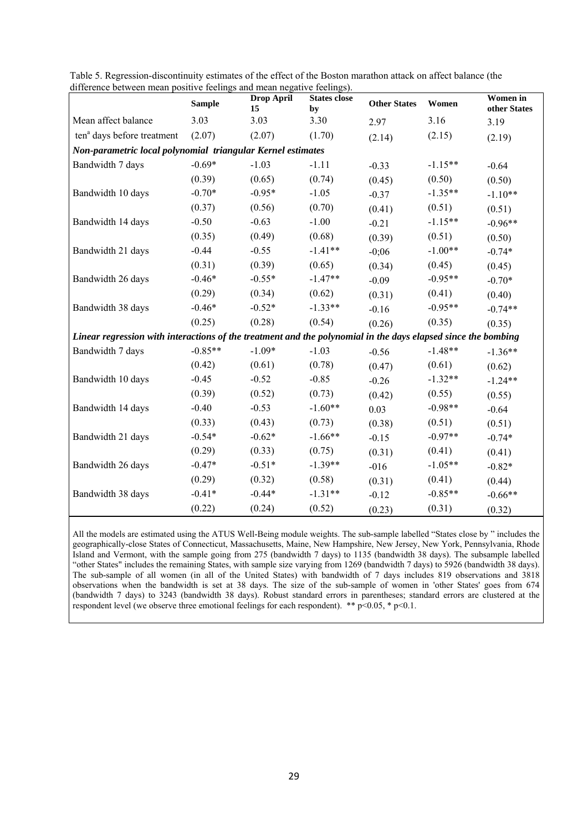| $\frac{1}{2}$                                                                                                 | <b>Sample</b> | Drop April<br>15 | <b>States close</b><br>by | <b>Other States</b> | Women     | Women in<br>other States |  |  |  |
|---------------------------------------------------------------------------------------------------------------|---------------|------------------|---------------------------|---------------------|-----------|--------------------------|--|--|--|
| Mean affect balance                                                                                           | 3.03          | 3.03             | 3.30                      | 2.97                | 3.16      | 3.19                     |  |  |  |
| ten <sup>a</sup> days before treatment                                                                        | (2.07)        | (2.07)           | (1.70)                    | (2.14)              | (2.15)    | (2.19)                   |  |  |  |
| Non-parametric local polynomial triangular Kernel estimates                                                   |               |                  |                           |                     |           |                          |  |  |  |
| Bandwidth 7 days                                                                                              | $-0.69*$      | $-1.03$          | $-1.11$                   | $-0.33$             | $-1.15**$ | $-0.64$                  |  |  |  |
|                                                                                                               | (0.39)        | (0.65)           | (0.74)                    | (0.45)              | (0.50)    | (0.50)                   |  |  |  |
| Bandwidth 10 days                                                                                             | $-0.70*$      | $-0.95*$         | $-1.05$                   | $-0.37$             | $-1.35**$ | $-1.10**$                |  |  |  |
|                                                                                                               | (0.37)        | (0.56)           | (0.70)                    | (0.41)              | (0.51)    | (0.51)                   |  |  |  |
| Bandwidth 14 days                                                                                             | $-0.50$       | $-0.63$          | $-1.00$                   | $-0.21$             | $-1.15**$ | $-0.96**$                |  |  |  |
|                                                                                                               | (0.35)        | (0.49)           | (0.68)                    | (0.39)              | (0.51)    | (0.50)                   |  |  |  |
| Bandwidth 21 days                                                                                             | $-0.44$       | $-0.55$          | $-1.41**$                 | $-0;06$             | $-1.00**$ | $-0.74*$                 |  |  |  |
|                                                                                                               | (0.31)        | (0.39)           | (0.65)                    | (0.34)              | (0.45)    | (0.45)                   |  |  |  |
| Bandwidth 26 days                                                                                             | $-0.46*$      | $-0.55*$         | $-1.47**$                 | $-0.09$             | $-0.95**$ | $-0.70*$                 |  |  |  |
|                                                                                                               | (0.29)        | (0.34)           | (0.62)                    | (0.31)              | (0.41)    | (0.40)                   |  |  |  |
| Bandwidth 38 days                                                                                             | $-0.46*$      | $-0.52*$         | $-1.33**$                 | $-0.16$             | $-0.95**$ | $-0.74**$                |  |  |  |
|                                                                                                               | (0.25)        | (0.28)           | (0.54)                    | (0.26)              | (0.35)    | (0.35)                   |  |  |  |
| Linear regression with interactions of the treatment and the polynomial in the days elapsed since the bombing |               |                  |                           |                     |           |                          |  |  |  |
| Bandwidth 7 days                                                                                              | $-0.85**$     | $-1.09*$         | $-1.03$                   | $-0.56$             | $-1.48**$ | $-1.36**$                |  |  |  |
|                                                                                                               | (0.42)        | (0.61)           | (0.78)                    | (0.47)              | (0.61)    | (0.62)                   |  |  |  |
| Bandwidth 10 days                                                                                             | $-0.45$       | $-0.52$          | $-0.85$                   | $-0.26$             | $-1.32**$ | $-1.24**$                |  |  |  |
|                                                                                                               | (0.39)        | (0.52)           | (0.73)                    | (0.42)              | (0.55)    | (0.55)                   |  |  |  |
| Bandwidth 14 days                                                                                             | $-0.40$       | $-0.53$          | $-1.60**$                 | 0.03                | $-0.98**$ | $-0.64$                  |  |  |  |
|                                                                                                               | (0.33)        | (0.43)           | (0.73)                    | (0.38)              | (0.51)    | (0.51)                   |  |  |  |
| Bandwidth 21 days                                                                                             | $-0.54*$      | $-0.62*$         | $-1.66**$                 | $-0.15$             | $-0.97**$ | $-0.74*$                 |  |  |  |
|                                                                                                               | (0.29)        | (0.33)           | (0.75)                    | (0.31)              | (0.41)    | (0.41)                   |  |  |  |
| Bandwidth 26 days                                                                                             | $-0.47*$      | $-0.51*$         | $-1.39**$                 | $-016$              | $-1.05**$ | $-0.82*$                 |  |  |  |
|                                                                                                               | (0.29)        | (0.32)           | (0.58)                    | (0.31)              | (0.41)    | (0.44)                   |  |  |  |
| Bandwidth 38 days                                                                                             | $-0.41*$      | $-0.44*$         | $-1.31**$                 | $-0.12$             | $-0.85**$ | $-0.66**$                |  |  |  |
|                                                                                                               | (0.22)        | (0.24)           | (0.52)                    | (0.23)              | (0.31)    | (0.32)                   |  |  |  |

Table 5. Regression-discontinuity estimates of the effect of the Boston marathon attack on affect balance (the difference between mean positive feelings and mean negative feelings).

All the models are estimated using the ATUS Well-Being module weights. The sub-sample labelled "States close by " includes the geographically-close States of Connecticut, Massachusetts, Maine, New Hampshire, New Jersey, New York, Pennsylvania, Rhode Island and Vermont, with the sample going from 275 (bandwidth 7 days) to 1135 (bandwidth 38 days). The subsample labelled "other States" includes the remaining States, with sample size varying from 1269 (bandwidth 7 days) to 5926 (bandwidth 38 days). The sub-sample of all women (in all of the United States) with bandwidth of 7 days includes 819 observations and 3818 observations when the bandwidth is set at 38 days. The size of the sub-sample of women in 'other States' goes from 674 (bandwidth 7 days) to 3243 (bandwidth 38 days). Robust standard errors in parentheses; standard errors are clustered at the respondent level (we observe three emotional feelings for each respondent). \*\*  $p<0.05$ , \*  $p<0.1$ .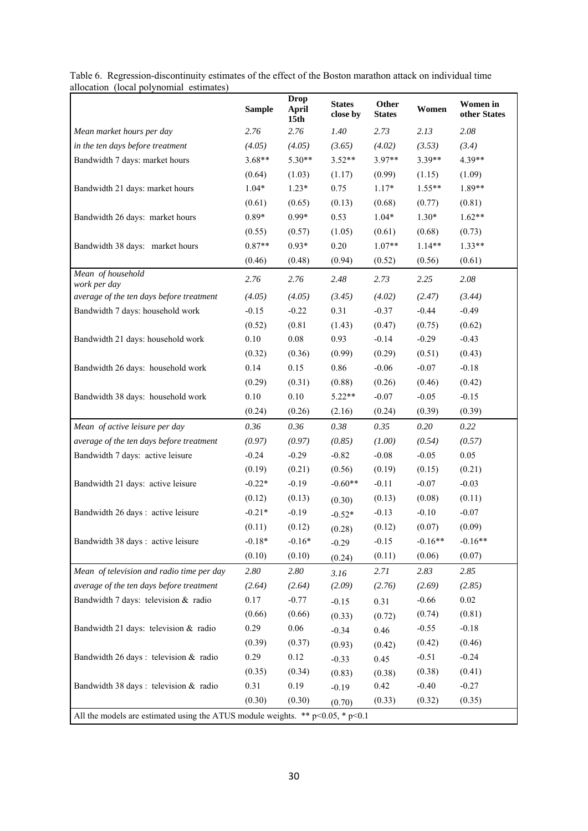|                                                                                     | <b>Sample</b> | <b>Drop</b><br><b>April</b><br>15 <sub>th</sub> | <b>States</b><br>close by | Other<br><b>States</b> | Women     | <b>Women</b> in<br>other States |
|-------------------------------------------------------------------------------------|---------------|-------------------------------------------------|---------------------------|------------------------|-----------|---------------------------------|
| Mean market hours per day                                                           | 2.76          | 2.76                                            | 1.40                      | 2.73                   | 2.13      | 2.08                            |
| in the ten days before treatment                                                    | (4.05)        | (4.05)                                          | (3.65)                    | (4.02)                 | (3.53)    | (3.4)                           |
| Bandwidth 7 days: market hours                                                      | $3.68**$      | $5.30**$                                        | $3.52**$                  | 3.97**                 | 3.39**    | 4.39**                          |
|                                                                                     | (0.64)        | (1.03)                                          | (1.17)                    | (0.99)                 | (1.15)    | (1.09)                          |
| Bandwidth 21 days: market hours                                                     | $1.04*$       | $1.23*$                                         | 0.75                      | $1.17*$                | $1.55**$  | 1.89**                          |
|                                                                                     | (0.61)        | (0.65)                                          | (0.13)                    | (0.68)                 | (0.77)    | (0.81)                          |
| Bandwidth 26 days: market hours                                                     | $0.89*$       | $0.99*$                                         | 0.53                      | $1.04*$                | $1.30*$   | $1.62**$                        |
|                                                                                     | (0.55)        | (0.57)                                          | (1.05)                    | (0.61)                 | (0.68)    | (0.73)                          |
| Bandwidth 38 days: market hours                                                     | $0.87**$      | $0.93*$                                         | 0.20                      | $1.07**$               | $1.14**$  | $1.33**$                        |
|                                                                                     | (0.46)        | (0.48)                                          | (0.94)                    | (0.52)                 | (0.56)    | (0.61)                          |
| Mean of household<br>work per day                                                   | 2.76          | 2.76                                            | 2.48                      | 2.73                   | 2.25      | 2.08                            |
| average of the ten days before treatment                                            | (4.05)        | (4.05)                                          | (3.45)                    | (4.02)                 | (2.47)    | (3.44)                          |
| Bandwidth 7 days: household work                                                    | $-0.15$       | $-0.22$                                         | 0.31                      | $-0.37$                | $-0.44$   | $-0.49$                         |
|                                                                                     | (0.52)        | (0.81)                                          | (1.43)                    | (0.47)                 | (0.75)    | (0.62)                          |
| Bandwidth 21 days: household work                                                   | 0.10          | $0.08\,$                                        | 0.93                      | $-0.14$                | $-0.29$   | $-0.43$                         |
|                                                                                     | (0.32)        | (0.36)                                          | (0.99)                    | (0.29)                 | (0.51)    | (0.43)                          |
| Bandwidth 26 days: household work                                                   | 0.14          | 0.15                                            | 0.86                      | $-0.06$                | $-0.07$   | $-0.18$                         |
|                                                                                     | (0.29)        | (0.31)                                          | (0.88)                    | (0.26)                 | (0.46)    | (0.42)                          |
| Bandwidth 38 days: household work                                                   | 0.10          | 0.10                                            | $5.22**$                  | $-0.07$                | $-0.05$   | $-0.15$                         |
|                                                                                     | (0.24)        | (0.26)                                          | (2.16)                    | (0.24)                 | (0.39)    | (0.39)                          |
| Mean of active leisure per day                                                      | 0.36          | 0.36                                            | 0.38                      | 0.35                   | 0.20      | 0.22                            |
| average of the ten days before treatment                                            | (0.97)        | (0.97)                                          | (0.85)                    | (1.00)                 | (0.54)    | (0.57)                          |
| Bandwidth 7 days: active leisure                                                    | $-0.24$       | $-0.29$                                         | $-0.82$                   | $-0.08$                | $-0.05$   | 0.05                            |
|                                                                                     | (0.19)        | (0.21)                                          | (0.56)                    | (0.19)                 | (0.15)    | (0.21)                          |
| Bandwidth 21 days: active leisure                                                   | $-0.22*$      | $-0.19$                                         | $-0.60**$                 | $-0.11$                | $-0.07$   | $-0.03$                         |
|                                                                                     | (0.12)        | (0.13)                                          | (0.30)                    | (0.13)                 | (0.08)    | (0.11)                          |
| Bandwidth 26 days: active leisure                                                   | $-0.21*$      | $-0.19$                                         | $-0.52*$                  | $-0.13$                | $-0.10$   | $-0.07$                         |
|                                                                                     | (0.11)        | (0.12)                                          | (0.28)                    | (0.12)                 | (0.07)    | (0.09)                          |
| Bandwidth 38 days: active leisure                                                   | $-0.18*$      | $-0.16*$                                        | $-0.29$                   | $-0.15$                | $-0.16**$ | $-0.16**$                       |
|                                                                                     | (0.10)        | (0.10)                                          | (0.24)                    | (0.11)                 | (0.06)    | (0.07)                          |
| Mean of television and radio time per day                                           | 2.80          | 2.80                                            | 3.16                      | 2.71                   | 2.83      | 2.85                            |
| average of the ten days before treatment                                            | (2.64)        | (2.64)                                          | (2.09)                    | (2.76)                 | (2.69)    | (2.85)                          |
| Bandwidth 7 days: television & radio                                                | 0.17          | $-0.77$                                         | $-0.15$                   | 0.31                   | $-0.66$   | $0.02\,$                        |
|                                                                                     | (0.66)        | (0.66)                                          | (0.33)                    | (0.72)                 | (0.74)    | (0.81)                          |
| Bandwidth 21 days: television & radio                                               | 0.29          | 0.06                                            | $-0.34$                   | 0.46                   | $-0.55$   | $-0.18$                         |
|                                                                                     | (0.39)        | (0.37)                                          | (0.93)                    | (0.42)                 | (0.42)    | (0.46)                          |
| Bandwidth 26 days : television & radio                                              | 0.29          | 0.12                                            | $-0.33$                   | 0.45                   | $-0.51$   | $-0.24$                         |
|                                                                                     | (0.35)        | (0.34)                                          | (0.83)                    | (0.38)                 | (0.38)    | (0.41)                          |
| Bandwidth 38 days : television & radio                                              | 0.31          | 0.19                                            | $-0.19$                   | 0.42                   | $-0.40$   | $-0.27$                         |
|                                                                                     | (0.30)        | (0.30)                                          | (0.70)                    | (0.33)                 | (0.32)    | (0.35)                          |
| All the models are estimated using the ATUS module weights. ** $p<0.05$ , * $p<0.1$ |               |                                                 |                           |                        |           |                                 |

Table 6. Regression-discontinuity estimates of the effect of the Boston marathon attack on individual time allocation (local polynomial estimates)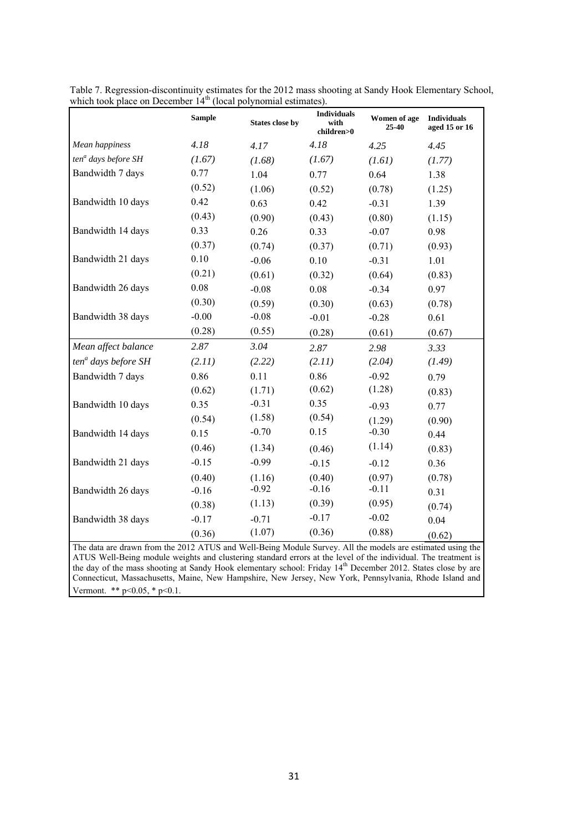|                                                                                                                                                                                                                              | <b>Sample</b> | <b>States close by</b> | <b>Individuals</b><br>with<br>children>0 | Women of age<br>25-40 | <b>Individuals</b><br>aged 15 or 16 |
|------------------------------------------------------------------------------------------------------------------------------------------------------------------------------------------------------------------------------|---------------|------------------------|------------------------------------------|-----------------------|-------------------------------------|
| Mean happiness                                                                                                                                                                                                               | 4.18          | 4.17                   | 4.18                                     | 4.25                  | 4.45                                |
| ten <sup>a</sup> days before SH                                                                                                                                                                                              | (1.67)        | (1.68)                 | (1.67)                                   | (1.61)                | (1.77)                              |
| Bandwidth 7 days                                                                                                                                                                                                             | 0.77          | 1.04                   | 0.77                                     | 0.64                  | 1.38                                |
|                                                                                                                                                                                                                              | (0.52)        | (1.06)                 | (0.52)                                   | (0.78)                | (1.25)                              |
| Bandwidth 10 days                                                                                                                                                                                                            | 0.42          | 0.63                   | 0.42                                     | $-0.31$               | 1.39                                |
|                                                                                                                                                                                                                              | (0.43)        | (0.90)                 | (0.43)                                   | (0.80)                | (1.15)                              |
| Bandwidth 14 days                                                                                                                                                                                                            | 0.33          | 0.26                   | 0.33                                     | $-0.07$               | 0.98                                |
|                                                                                                                                                                                                                              | (0.37)        | (0.74)                 | (0.37)                                   | (0.71)                | (0.93)                              |
| Bandwidth 21 days                                                                                                                                                                                                            | 0.10          | $-0.06$                | 0.10                                     | $-0.31$               | 1.01                                |
|                                                                                                                                                                                                                              | (0.21)        | (0.61)                 | (0.32)                                   | (0.64)                | (0.83)                              |
| Bandwidth 26 days                                                                                                                                                                                                            | 0.08          | $-0.08$                | 0.08                                     | $-0.34$               | 0.97                                |
|                                                                                                                                                                                                                              | (0.30)        | (0.59)                 | (0.30)                                   | (0.63)                | (0.78)                              |
| Bandwidth 38 days                                                                                                                                                                                                            | $-0.00$       | $-0.08$                | $-0.01$                                  | $-0.28$               | 0.61                                |
|                                                                                                                                                                                                                              | (0.28)        | (0.55)                 | (0.28)                                   | (0.61)                | (0.67)                              |
| Mean affect balance                                                                                                                                                                                                          | 2.87          | 3.04                   | 2.87                                     | 2.98                  | 3.33                                |
| ten <sup>a</sup> days before SH                                                                                                                                                                                              | (2.11)        | (2.22)                 | (2.11)                                   | (2.04)                | (1.49)                              |
| Bandwidth 7 days                                                                                                                                                                                                             | 0.86          | 0.11                   | 0.86                                     | $-0.92$               | 0.79                                |
|                                                                                                                                                                                                                              | (0.62)        | (1.71)                 | (0.62)                                   | (1.28)                | (0.83)                              |
| Bandwidth 10 days                                                                                                                                                                                                            | 0.35          | $-0.31$                | 0.35                                     | $-0.93$               | 0.77                                |
|                                                                                                                                                                                                                              | (0.54)        | (1.58)                 | (0.54)                                   | (1.29)                | (0.90)                              |
| Bandwidth 14 days                                                                                                                                                                                                            | 0.15          | $-0.70$                | 0.15                                     | $-0.30$               | 0.44                                |
|                                                                                                                                                                                                                              | (0.46)        | (1.34)                 | (0.46)                                   | (1.14)                | (0.83)                              |
| Bandwidth 21 days                                                                                                                                                                                                            | $-0.15$       | $-0.99$                | $-0.15$                                  | $-0.12$               | 0.36                                |
|                                                                                                                                                                                                                              | (0.40)        | (1.16)                 | (0.40)                                   | (0.97)                | (0.78)                              |
| Bandwidth 26 days                                                                                                                                                                                                            | $-0.16$       | $-0.92$                | $-0.16$                                  | $-0.11$               | 0.31                                |
|                                                                                                                                                                                                                              | (0.38)        | (1.13)                 | (0.39)                                   | (0.95)                | (0.74)                              |
| Bandwidth 38 days                                                                                                                                                                                                            | $-0.17$       | $-0.71$                | $-0.17$                                  | $-0.02$               | 0.04                                |
|                                                                                                                                                                                                                              | (0.36)        | (1.07)                 | (0.36)                                   | (0.88)                | (0.62)                              |
| The data are drawn from the 2012 ATUS and Well-Being Module Survey. All the models are estimated using the<br>ATUS Well-Being module weights and clustering standard errors at the level of the individual. The treatment is |               |                        |                                          |                       |                                     |

Table 7. Regression-discontinuity estimates for the 2012 mass shooting at Sandy Hook Elementary School, which took place on December  $14<sup>th</sup>$  (local polynomial estimates).

the day of the mass shooting at Sandy Hook elementary school: Friday 14<sup>th</sup> December 2012. States close by are Connecticut, Massachusetts, Maine, New Hampshire, New Jersey, New York, Pennsylvania, Rhode Island and Vermont. \*\* p<0.05, \* p<0.1.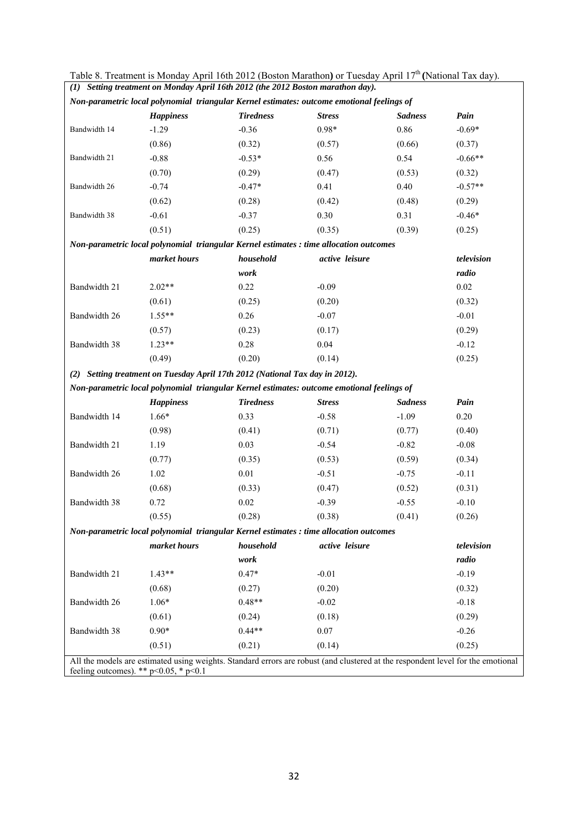| Table 8. Treatment is Monday April 16th 2012 (Boston Marathon) or Tuesday April $17th$ (National Tax day).<br>(1) Setting treatment on Monday April 16th 2012 (the 2012 Boston marathon day). |                                                                              |                  |                                                                                                                                 |                |            |  |  |  |  |
|-----------------------------------------------------------------------------------------------------------------------------------------------------------------------------------------------|------------------------------------------------------------------------------|------------------|---------------------------------------------------------------------------------------------------------------------------------|----------------|------------|--|--|--|--|
| Non-parametric local polynomial triangular Kernel estimates: outcome emotional feelings of                                                                                                    |                                                                              |                  |                                                                                                                                 |                |            |  |  |  |  |
|                                                                                                                                                                                               | <b>Happiness</b>                                                             | <b>Tiredness</b> | <b>Stress</b>                                                                                                                   | <b>Sadness</b> | Pain       |  |  |  |  |
| Bandwidth 14                                                                                                                                                                                  | $-1.29$                                                                      | $-0.36$          | $0.98*$                                                                                                                         | 0.86           | $-0.69*$   |  |  |  |  |
|                                                                                                                                                                                               | (0.86)                                                                       | (0.32)           | (0.57)                                                                                                                          | (0.66)         | (0.37)     |  |  |  |  |
| Bandwidth 21                                                                                                                                                                                  | $-0.88$                                                                      | $-0.53*$         | 0.56                                                                                                                            | 0.54           | $-0.66**$  |  |  |  |  |
|                                                                                                                                                                                               | (0.70)                                                                       | (0.29)           | (0.47)                                                                                                                          | (0.53)         | (0.32)     |  |  |  |  |
| Bandwidth 26                                                                                                                                                                                  | $-0.74$                                                                      | $-0.47*$         | 0.41                                                                                                                            | 0.40           | $-0.57**$  |  |  |  |  |
|                                                                                                                                                                                               | (0.62)                                                                       | (0.28)           | (0.42)                                                                                                                          | (0.48)         | (0.29)     |  |  |  |  |
| Bandwidth 38                                                                                                                                                                                  | $-0.61$                                                                      | $-0.37$          | 0.30                                                                                                                            | 0.31           | $-0.46*$   |  |  |  |  |
|                                                                                                                                                                                               | (0.51)                                                                       | (0.25)           | (0.35)                                                                                                                          | (0.39)         | (0.25)     |  |  |  |  |
|                                                                                                                                                                                               |                                                                              |                  | Non-parametric local polynomial triangular Kernel estimates : time allocation outcomes                                          |                |            |  |  |  |  |
|                                                                                                                                                                                               | market hours                                                                 | household        | active leisure                                                                                                                  |                | television |  |  |  |  |
|                                                                                                                                                                                               |                                                                              | work             |                                                                                                                                 |                | radio      |  |  |  |  |
| Bandwidth 21                                                                                                                                                                                  | $2.02**$                                                                     | 0.22             | $-0.09$                                                                                                                         |                | $0.02\,$   |  |  |  |  |
|                                                                                                                                                                                               | (0.61)                                                                       | (0.25)           | (0.20)                                                                                                                          |                | (0.32)     |  |  |  |  |
| Bandwidth 26                                                                                                                                                                                  | $1.55**$                                                                     | 0.26             | $-0.07$                                                                                                                         |                | $-0.01$    |  |  |  |  |
|                                                                                                                                                                                               | (0.57)                                                                       | (0.23)           | (0.17)                                                                                                                          |                | (0.29)     |  |  |  |  |
| Bandwidth 38                                                                                                                                                                                  | $1.23**$                                                                     | 0.28             | 0.04                                                                                                                            |                | $-0.12$    |  |  |  |  |
|                                                                                                                                                                                               | (0.49)                                                                       | (0.20)           | (0.14)                                                                                                                          |                | (0.25)     |  |  |  |  |
|                                                                                                                                                                                               | (2) Setting treatment on Tuesday April 17th 2012 (National Tax day in 2012). |                  |                                                                                                                                 |                |            |  |  |  |  |
|                                                                                                                                                                                               |                                                                              |                  | Non-parametric local polynomial triangular Kernel estimates: outcome emotional feelings of                                      |                |            |  |  |  |  |
|                                                                                                                                                                                               | <b>Happiness</b>                                                             | <b>Tiredness</b> | <b>Stress</b>                                                                                                                   | <b>Sadness</b> | Pain       |  |  |  |  |
| Bandwidth 14                                                                                                                                                                                  | $1.66*$                                                                      | 0.33             | $-0.58$                                                                                                                         | $-1.09$        | 0.20       |  |  |  |  |
|                                                                                                                                                                                               | (0.98)                                                                       | (0.41)           | (0.71)                                                                                                                          | (0.77)         | (0.40)     |  |  |  |  |
| Bandwidth 21                                                                                                                                                                                  | 1.19                                                                         | 0.03             | $-0.54$                                                                                                                         | $-0.82$        | $-0.08$    |  |  |  |  |
|                                                                                                                                                                                               | (0.77)                                                                       | (0.35)           | (0.53)                                                                                                                          | (0.59)         | (0.34)     |  |  |  |  |
| Bandwidth 26                                                                                                                                                                                  | 1.02                                                                         | 0.01             | $-0.51$                                                                                                                         | $-0.75$        | $-0.11$    |  |  |  |  |
|                                                                                                                                                                                               | (0.68)                                                                       | (0.33)           | (0.47)                                                                                                                          | (0.52)         | (0.31)     |  |  |  |  |
| Bandwidth 38                                                                                                                                                                                  | 0.72                                                                         | 0.02             | $-0.39$                                                                                                                         | $-0.55$        | $-0.10$    |  |  |  |  |
|                                                                                                                                                                                               | (0.55)                                                                       | (0.28)           | (0.38)                                                                                                                          | (0.41)         | (0.26)     |  |  |  |  |
|                                                                                                                                                                                               |                                                                              |                  | Non-parametric local polynomial triangular Kernel estimates : time allocation outcomes                                          |                |            |  |  |  |  |
|                                                                                                                                                                                               | market hours                                                                 | household        | active leisure                                                                                                                  |                | television |  |  |  |  |
|                                                                                                                                                                                               |                                                                              | work             |                                                                                                                                 |                | radio      |  |  |  |  |
| Bandwidth 21                                                                                                                                                                                  | $1.43**$                                                                     | $0.47*$          | $-0.01$                                                                                                                         |                | $-0.19$    |  |  |  |  |
|                                                                                                                                                                                               | (0.68)                                                                       | (0.27)           | (0.20)                                                                                                                          |                | (0.32)     |  |  |  |  |
| Bandwidth 26                                                                                                                                                                                  | $1.06*$                                                                      | $0.48**$         | $-0.02$                                                                                                                         |                | $-0.18$    |  |  |  |  |
|                                                                                                                                                                                               | (0.61)                                                                       | (0.24)           | (0.18)                                                                                                                          |                | (0.29)     |  |  |  |  |
| Bandwidth 38                                                                                                                                                                                  | $0.90*$                                                                      | $0.44**$         | 0.07                                                                                                                            |                | $-0.26$    |  |  |  |  |
|                                                                                                                                                                                               | (0.51)                                                                       | (0.21)           | (0.14)                                                                                                                          |                | (0.25)     |  |  |  |  |
|                                                                                                                                                                                               | feeling outcomes). ** $p<0.05$ , * $p<0.1$                                   |                  | All the models are estimated using weights. Standard errors are robust (and clustered at the respondent level for the emotional |                |            |  |  |  |  |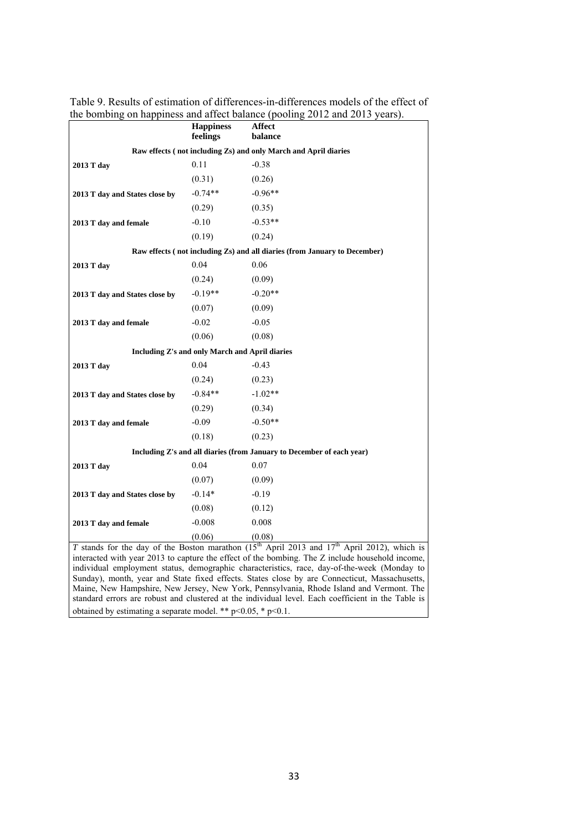|                                                                                                                                                                                                                                                                                                                                                                                                                                                                                                                                                                                                     | <b>Happiness</b><br>feelings                   | Affect<br>balance                                                         |  |  |  |
|-----------------------------------------------------------------------------------------------------------------------------------------------------------------------------------------------------------------------------------------------------------------------------------------------------------------------------------------------------------------------------------------------------------------------------------------------------------------------------------------------------------------------------------------------------------------------------------------------------|------------------------------------------------|---------------------------------------------------------------------------|--|--|--|
|                                                                                                                                                                                                                                                                                                                                                                                                                                                                                                                                                                                                     |                                                | Raw effects (not including Zs) and only March and April diaries           |  |  |  |
| 2013 T day                                                                                                                                                                                                                                                                                                                                                                                                                                                                                                                                                                                          | 0.11                                           | $-0.38$                                                                   |  |  |  |
|                                                                                                                                                                                                                                                                                                                                                                                                                                                                                                                                                                                                     | (0.31)                                         | (0.26)                                                                    |  |  |  |
| 2013 T day and States close by                                                                                                                                                                                                                                                                                                                                                                                                                                                                                                                                                                      | $-0.74**$                                      | $-0.96**$                                                                 |  |  |  |
|                                                                                                                                                                                                                                                                                                                                                                                                                                                                                                                                                                                                     | (0.29)                                         | (0.35)                                                                    |  |  |  |
| 2013 T day and female                                                                                                                                                                                                                                                                                                                                                                                                                                                                                                                                                                               | $-0.10$                                        | $-0.53**$                                                                 |  |  |  |
|                                                                                                                                                                                                                                                                                                                                                                                                                                                                                                                                                                                                     | (0.19)                                         | (0.24)                                                                    |  |  |  |
|                                                                                                                                                                                                                                                                                                                                                                                                                                                                                                                                                                                                     |                                                | Raw effects (not including Zs) and all diaries (from January to December) |  |  |  |
| 2013 T day                                                                                                                                                                                                                                                                                                                                                                                                                                                                                                                                                                                          | 0.04                                           | 0.06                                                                      |  |  |  |
|                                                                                                                                                                                                                                                                                                                                                                                                                                                                                                                                                                                                     | (0.24)                                         | (0.09)                                                                    |  |  |  |
| 2013 T day and States close by                                                                                                                                                                                                                                                                                                                                                                                                                                                                                                                                                                      | $-0.19**$                                      | $-0.20**$                                                                 |  |  |  |
|                                                                                                                                                                                                                                                                                                                                                                                                                                                                                                                                                                                                     | (0.07)                                         | (0.09)                                                                    |  |  |  |
| 2013 T day and female                                                                                                                                                                                                                                                                                                                                                                                                                                                                                                                                                                               | $-0.02$                                        | $-0.05$                                                                   |  |  |  |
|                                                                                                                                                                                                                                                                                                                                                                                                                                                                                                                                                                                                     | (0.06)                                         | (0.08)                                                                    |  |  |  |
|                                                                                                                                                                                                                                                                                                                                                                                                                                                                                                                                                                                                     | Including Z's and only March and April diaries |                                                                           |  |  |  |
| 2013 T day                                                                                                                                                                                                                                                                                                                                                                                                                                                                                                                                                                                          | 0.04                                           | $-0.43$                                                                   |  |  |  |
|                                                                                                                                                                                                                                                                                                                                                                                                                                                                                                                                                                                                     | (0.24)                                         | (0.23)                                                                    |  |  |  |
| 2013 T day and States close by                                                                                                                                                                                                                                                                                                                                                                                                                                                                                                                                                                      | $-0.84**$                                      | $-1.02**$                                                                 |  |  |  |
|                                                                                                                                                                                                                                                                                                                                                                                                                                                                                                                                                                                                     | (0.29)                                         | (0.34)                                                                    |  |  |  |
| 2013 T day and female                                                                                                                                                                                                                                                                                                                                                                                                                                                                                                                                                                               | $-0.09$                                        | $-0.50**$                                                                 |  |  |  |
|                                                                                                                                                                                                                                                                                                                                                                                                                                                                                                                                                                                                     | (0.18)                                         | (0.23)                                                                    |  |  |  |
|                                                                                                                                                                                                                                                                                                                                                                                                                                                                                                                                                                                                     |                                                | Including Z's and all diaries (from January to December of each year)     |  |  |  |
| 2013 T day                                                                                                                                                                                                                                                                                                                                                                                                                                                                                                                                                                                          | 0.04                                           | 0.07                                                                      |  |  |  |
|                                                                                                                                                                                                                                                                                                                                                                                                                                                                                                                                                                                                     | (0.07)                                         | (0.09)                                                                    |  |  |  |
| 2013 T day and States close by                                                                                                                                                                                                                                                                                                                                                                                                                                                                                                                                                                      | $-0.14*$                                       | $-0.19$                                                                   |  |  |  |
|                                                                                                                                                                                                                                                                                                                                                                                                                                                                                                                                                                                                     | (0.08)                                         | (0.12)                                                                    |  |  |  |
| 2013 T day and female                                                                                                                                                                                                                                                                                                                                                                                                                                                                                                                                                                               | $-0.008$                                       | 0.008                                                                     |  |  |  |
|                                                                                                                                                                                                                                                                                                                                                                                                                                                                                                                                                                                                     | (0.06)                                         | (0.08)                                                                    |  |  |  |
| T stands for the day of the Boston marathon $(15th$ April 2013 and $17th$ April 2012), which is<br>interacted with year 2013 to capture the effect of the bombing. The Z include household income,<br>individual employment status, demographic characteristics, race, day-of-the-week (Monday to<br>Sunday), month, year and State fixed effects. States close by are Connecticut, Massachusetts,<br>Maine, New Hampshire, New Jersey, New York, Pennsylvania, Rhode Island and Vermont. The<br>standard errors are robust and clustered at the individual level. Each coefficient in the Table is |                                                |                                                                           |  |  |  |

obtained by estimating a separate model. \*\* p<0.05, \* p<0.1.

Table 9. Results of estimation of differences-in-differences models of the effect of the bombing on happiness and affect balance (pooling 2012 and 2013 years).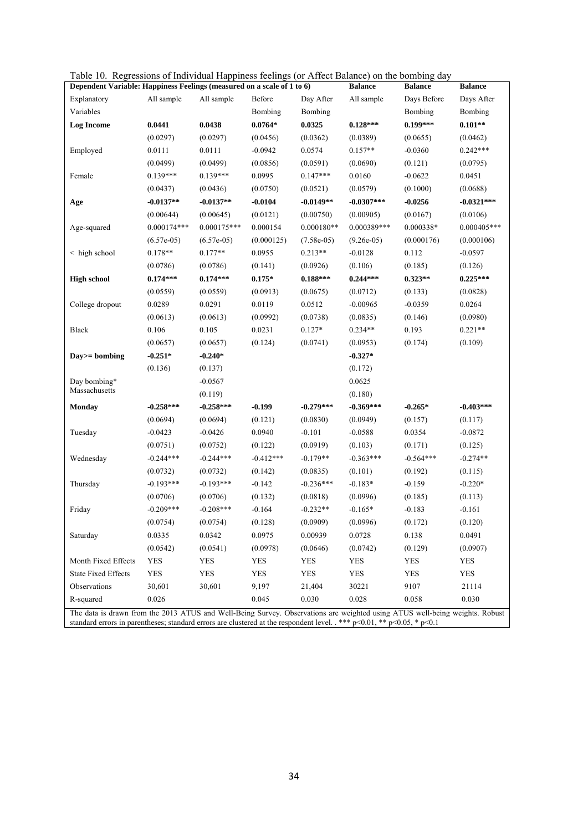| Dependent Variable: Happiness Feelings (measured on a scale of 1 to 6)                                                      |               |               |             |              | <b>Balance</b> | <b>Balance</b> | <b>Balance</b> |
|-----------------------------------------------------------------------------------------------------------------------------|---------------|---------------|-------------|--------------|----------------|----------------|----------------|
| Explanatory                                                                                                                 | All sample    | All sample    | Before      | Day After    | All sample     | Days Before    | Days After     |
| Variables                                                                                                                   |               |               | Bombing     | Bombing      |                | Bombing        | Bombing        |
| <b>Log Income</b>                                                                                                           | 0.0441        | 0.0438        | $0.0764*$   | 0.0325       | $0.128***$     | $0.199***$     | $0.101**$      |
|                                                                                                                             | (0.0297)      | (0.0297)      | (0.0456)    | (0.0362)     | (0.0389)       | (0.0655)       | (0.0462)       |
| Employed                                                                                                                    | 0.0111        | 0.0111        | $-0.0942$   | 0.0574       | $0.157**$      | $-0.0360$      | $0.242***$     |
|                                                                                                                             | (0.0499)      | (0.0499)      | (0.0856)    | (0.0591)     | (0.0690)       | (0.121)        | (0.0795)       |
| Female                                                                                                                      | $0.139***$    | 0.139***      | 0.0995      | $0.147***$   | 0.0160         | $-0.0622$      | 0.0451         |
|                                                                                                                             | (0.0437)      | (0.0436)      | (0.0750)    | (0.0521)     | (0.0579)       | (0.1000)       | (0.0688)       |
| Age                                                                                                                         | $-0.0137**$   | $-0.0137**$   | $-0.0104$   | $-0.0149**$  | $-0.0307***$   | $-0.0256$      | $-0.0321***$   |
|                                                                                                                             | (0.00644)     | (0.00645)     | (0.0121)    | (0.00750)    | (0.00905)      | (0.0167)       | (0.0106)       |
| Age-squared                                                                                                                 | $0.000174***$ | $0.000175***$ | 0.000154    | $0.000180**$ | 0.000389***    | 0.000338*      | $0.000405***$  |
|                                                                                                                             | $(6.57e-05)$  | $(6.57e-05)$  | (0.000125)  | $(7.58e-05)$ | $(9.26e-05)$   | (0.000176)     | (0.000106)     |
| $\leq$ high school                                                                                                          | $0.178**$     | $0.177**$     | 0.0955      | $0.213**$    | $-0.0128$      | 0.112          | $-0.0597$      |
|                                                                                                                             | (0.0786)      | (0.0786)      | (0.141)     | (0.0926)     | (0.106)        | (0.185)        | (0.126)        |
| <b>High school</b>                                                                                                          | $0.174***$    | $0.174***$    | $0.175*$    | $0.188***$   | $0.244***$     | $0.323**$      | $0.225***$     |
|                                                                                                                             | (0.0559)      | (0.0559)      | (0.0913)    | (0.0675)     | (0.0712)       | (0.133)        | (0.0828)       |
| College dropout                                                                                                             | 0.0289        | 0.0291        | 0.0119      | 0.0512       | $-0.00965$     | $-0.0359$      | 0.0264         |
|                                                                                                                             | (0.0613)      | (0.0613)      | (0.0992)    | (0.0738)     | (0.0835)       | (0.146)        | (0.0980)       |
| Black                                                                                                                       | 0.106         | 0.105         | 0.0231      | $0.127*$     | $0.234**$      | 0.193          | $0.221**$      |
|                                                                                                                             | (0.0657)      | (0.0657)      | (0.124)     | (0.0741)     | (0.0953)       | (0.174)        | (0.109)        |
| Day>= bombing                                                                                                               | $-0.251*$     | $-0.240*$     |             |              | $-0.327*$      |                |                |
|                                                                                                                             | (0.136)       | (0.137)       |             |              | (0.172)        |                |                |
| Day bombing*                                                                                                                |               | $-0.0567$     |             |              | 0.0625         |                |                |
| Massachusetts                                                                                                               |               | (0.119)       |             |              | (0.180)        |                |                |
| <b>Monday</b>                                                                                                               | $-0.258***$   | $-0.258***$   | $-0.199$    | $-0.279***$  | $-0.369***$    | $-0.265*$      | $-0.403***$    |
|                                                                                                                             | (0.0694)      | (0.0694)      | (0.121)     | (0.0830)     | (0.0949)       | (0.157)        | (0.117)        |
| Tuesday                                                                                                                     | $-0.0423$     | $-0.0426$     | 0.0940      | $-0.101$     | $-0.0588$      | 0.0354         | $-0.0872$      |
|                                                                                                                             | (0.0751)      | (0.0752)      | (0.122)     | (0.0919)     | (0.103)        | (0.171)        | (0.125)        |
| Wednesday                                                                                                                   | $-0.244***$   | $-0.244***$   | $-0.412***$ | $-0.179**$   | $-0.363***$    | $-0.564***$    | $-0.274**$     |
|                                                                                                                             | (0.0732)      | (0.0732)      | (0.142)     | (0.0835)     | (0.101)        | (0.192)        | (0.115)        |
| Thursday                                                                                                                    | $-0.193***$   | $-0.193***$   | $-0.142$    | $-0.236***$  | $-0.183*$      | $-0.159$       | $-0.220*$      |
|                                                                                                                             | (0.0706)      | (0.0706)      | (0.132)     | (0.0818)     | (0.0996)       | (0.185)        | (0.113)        |
| Friday                                                                                                                      | $-0.209***$   | $-0.208***$   | $-0.164$    | $-0.232**$   | $-0.165*$      | $-0.183$       | $-0.161$       |
|                                                                                                                             | (0.0754)      | (0.0754)      | (0.128)     | (0.0909)     | (0.0996)       | (0.172)        | (0.120)        |
| Saturday                                                                                                                    | 0.0335        | 0.0342        | 0.0975      | 0.00939      | 0.0728         | 0.138          | 0.0491         |
|                                                                                                                             | (0.0542)      | (0.0541)      | (0.0978)    | (0.0646)     | (0.0742)       | (0.129)        | (0.0907)       |
| Month Fixed Effects                                                                                                         | <b>YES</b>    | <b>YES</b>    | YES         | <b>YES</b>   | <b>YES</b>     | YES            | <b>YES</b>     |
| <b>State Fixed Effects</b>                                                                                                  | <b>YES</b>    | <b>YES</b>    | <b>YES</b>  | ${\rm YES}$  | <b>YES</b>     | YES            | <b>YES</b>     |
| Observations                                                                                                                | 30,601        | 30,601        | 9,197       | 21,404       | 30221          | 9107           | 21114          |
| R-squared                                                                                                                   | 0.026         |               | 0.045       | 0.030        | 0.028          | 0.058          | 0.030          |
| The data is drawn from the 2013 ATUS and Well-Being Survey. Observations are weighted using ATUS well-being weights. Robust |               |               |             |              |                |                |                |

Table 10. Regressions of Individual Happiness feelings (or Affect Balance) on the bombing day

standard errors in parentheses; standard errors are clustered at the respondent level. . \*\*\*  $p<0.01$ , \*\*  $p<0.05$ , \*  $p<0.1$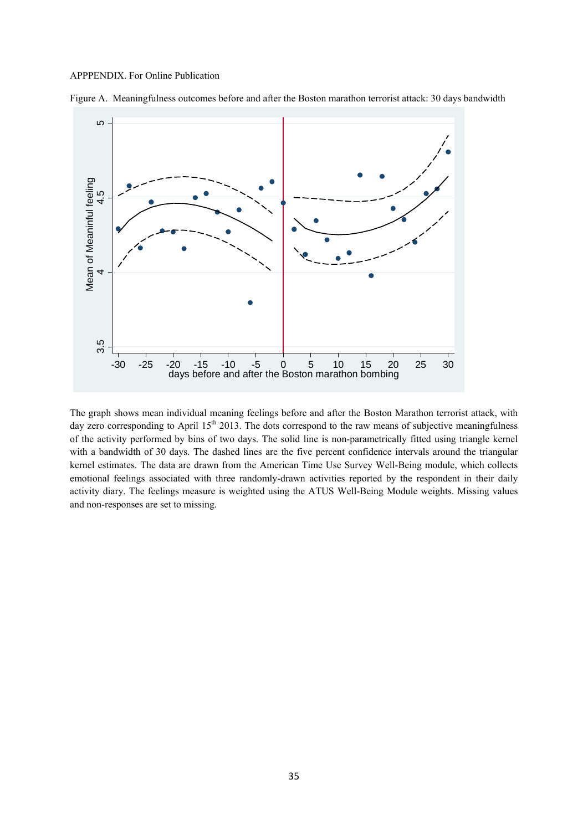#### APPPENDIX. For Online Publication



Figure A. Meaningfulness outcomes before and after the Boston marathon terrorist attack: 30 days bandwidth

The graph shows mean individual meaning feelings before and after the Boston Marathon terrorist attack, with day zero corresponding to April 15<sup>th</sup> 2013. The dots correspond to the raw means of subjective meaningfulness of the activity performed by bins of two days. The solid line is non-parametrically fitted using triangle kernel with a bandwidth of 30 days. The dashed lines are the five percent confidence intervals around the triangular kernel estimates. The data are drawn from the American Time Use Survey Well-Being module, which collects emotional feelings associated with three randomly-drawn activities reported by the respondent in their daily activity diary. The feelings measure is weighted using the ATUS Well-Being Module weights. Missing values  $\begin{array}{c|c}\n\text{a)} & -30 & -25 & -20 & -15 \\
\hline\n\text{c)} & \text{days before} \\
\end{array}$ <br>
The graph shows mean individual meday zero corresponding to April 15<sup>th</sup><br>
of the activity performed by bins of<br>
with a bandwidth of 30 days. The data kernel estim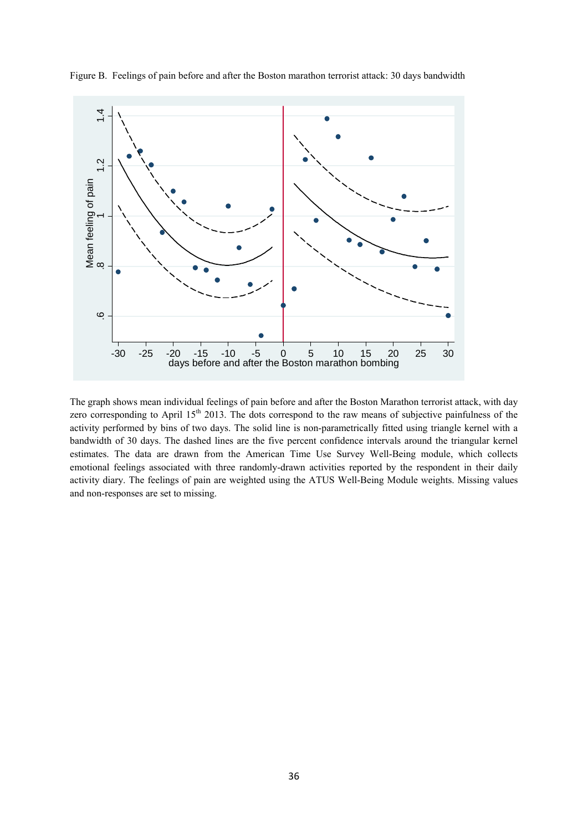

Figure B. Feelings of pain before and after the Boston marathon terrorist attack: 30 days bandwidth

The graph shows mean individual feelings of pain before and after the Boston Marathon terrorist attack, with day zero corresponding to April  $15<sup>th</sup> 2013$ . The dots correspond to the raw means of subjective painfulness of the activity performed by bins of two days. The solid line is non-parametrically fitted using triangle kernel with a bandwidth of 30 days. The dashed lines are the five percent confidence intervals around the triangular kernel estimates. The data are drawn from the American Time Use Survey Well-Being module, which collects emotional feelings associated with three randomly-drawn activities reported by the respondent in their daily activity diary. The feelings of pain are weighted using the ATUS Well-Being Module weights. Missing values and non-responses are set to missing.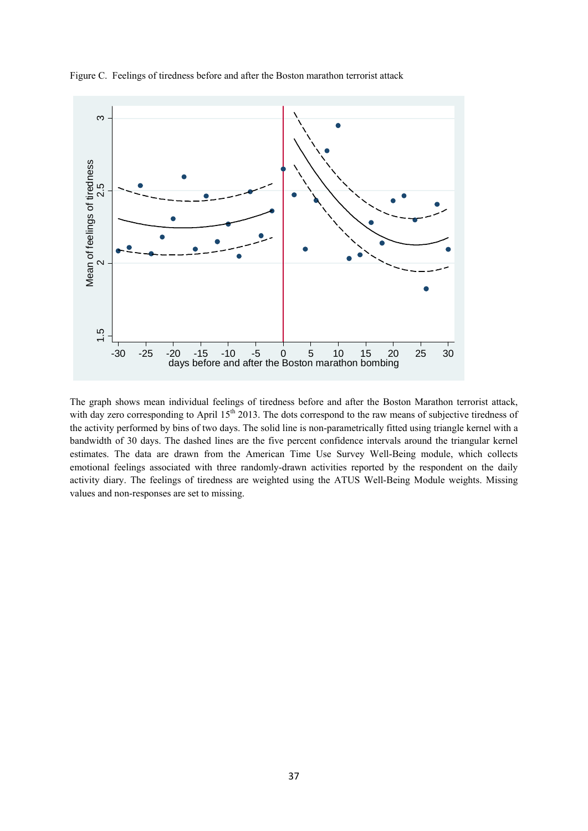

Figure C. Feelings of tiredness before and after the Boston marathon terrorist attack

The graph shows mean individual feelings of tiredness before and after the Boston Marathon terrorist attack, with day zero corresponding to April  $15<sup>th</sup> 2013$ . The dots correspond to the raw means of subjective tiredness of the activity performed by bins of two days. The solid line is non-parametrically fitted using triangle kernel with a bandwidth of 30 days. The dashed lines are the five percent confidence intervals around the triangular kernel estimates. The data are drawn from the American Time Use Survey Well-Being module, which collects emotional feelings associated with three randomly-drawn activities reported by the respondent on the daily activity diary. The feelings of tiredness are weighted using the ATUS Well-Being Module weights. Missing values and non-responses are set to missing. com<br>The grap<br>with day<br>the active<br>enotional<br>activity<br>values and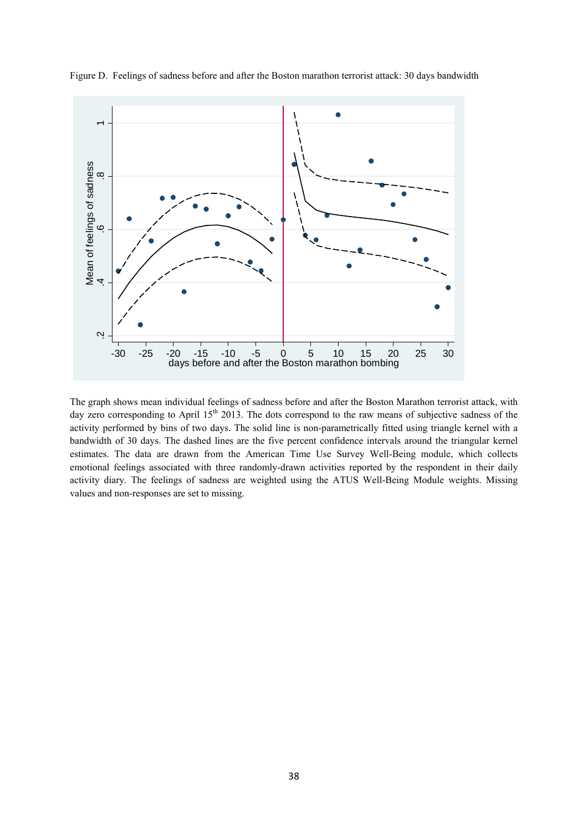

Figure D. Feelings of sadness before and after the Boston marathon terrorist attack: 30 days bandwidth

The graph shows mean individual feelings of sadness before and after the Boston Marathon terrorist attack, with day zero corresponding to April  $15<sup>th</sup> 2013$ . The dots correspond to the raw means of subjective sadness of the activity performed by bins of two days. The solid line is non-parametrically fitted using triangle kernel with a bandwidth of 30 days. The dashed lines are the five percent confidence intervals around the triangular kernel estimates. The data are drawn from the American Time Use Survey Well-Being module, which collects emotional feelings associated with three randomly-drawn activities reported by the respondent in their daily activity diary. The feelings of sadness are weighted using the ATUS Well-Being Module weights. Missing values and non-responses are set to missing.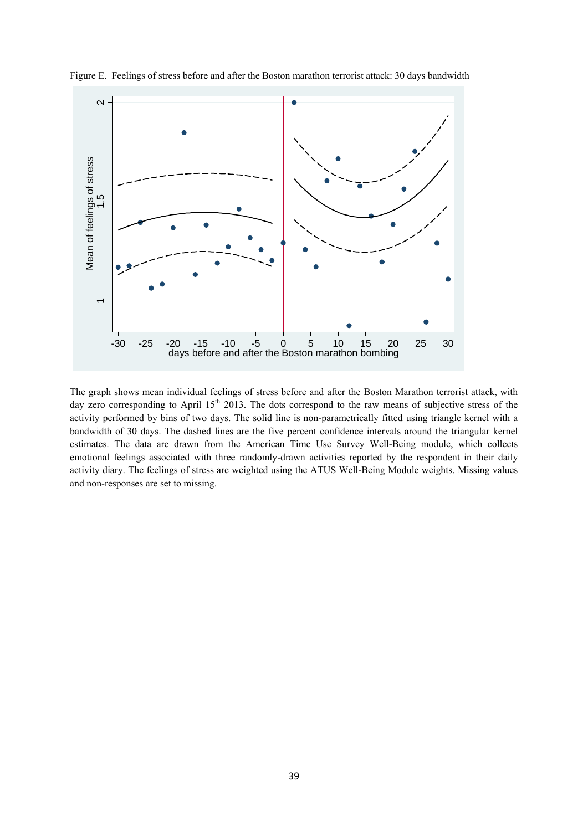

Figure E. Feelings of stress before and after the Boston marathon terrorist attack: 30 days bandwidth

The graph shows mean individual feelings of stress before and after the Boston Marathon terrorist attack, with day zero corresponding to April  $15<sup>th</sup> 2013$ . The dots correspond to the raw means of subjective stress of the activity performed by bins of two days. The solid line is non-parametrically fitted using triangle kernel with a bandwidth of 30 days. The dashed lines are the five percent confidence intervals around the triangular kernel estimates. The data are drawn from the American Time Use Survey Well-Being module, which collects emotional feelings associated with three randomly-drawn activities reported by the respondent in their daily activity diary. The feelings of stress are weighted using the ATUS Well-Being Module weights. Missing values and non-responses are set to missing.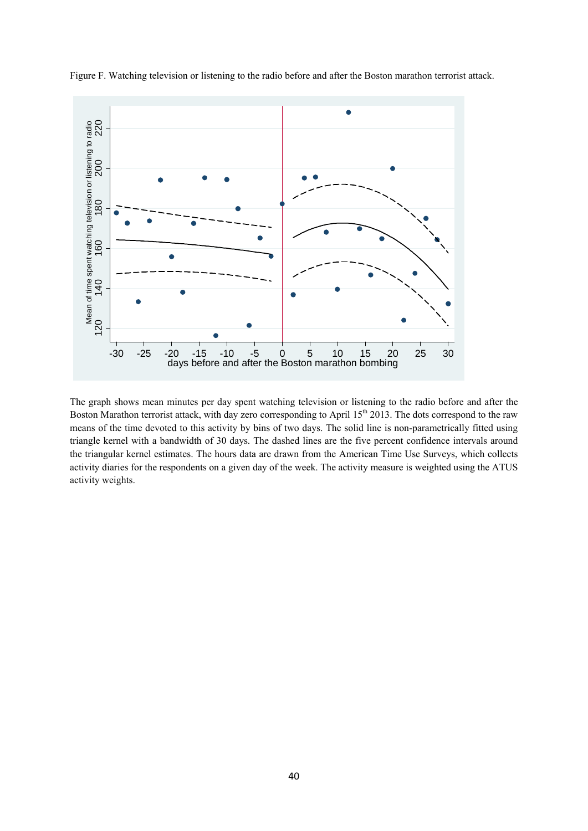

Figure F. Watching television or listening to the radio before and after the Boston marathon terrorist attack.

The graph shows mean minutes per day spent watching television or listening to the radio before and after the Boston Marathon terrorist attack, with day zero corresponding to April  $15<sup>th</sup> 2013$ . The dots correspond to the raw means of the time devoted to this activity by bins of two days. The solid line is non-parametrically fitted using triangle kernel with a bandwidth of 30 days. The dashed lines are the five percent confidence intervals around the triangular kernel estimates. The hours data are drawn from the American Time Use Surveys, which collects activity diaries for the respondents on a given day of the week. The activity measure is weighted using the ATUS activity weights.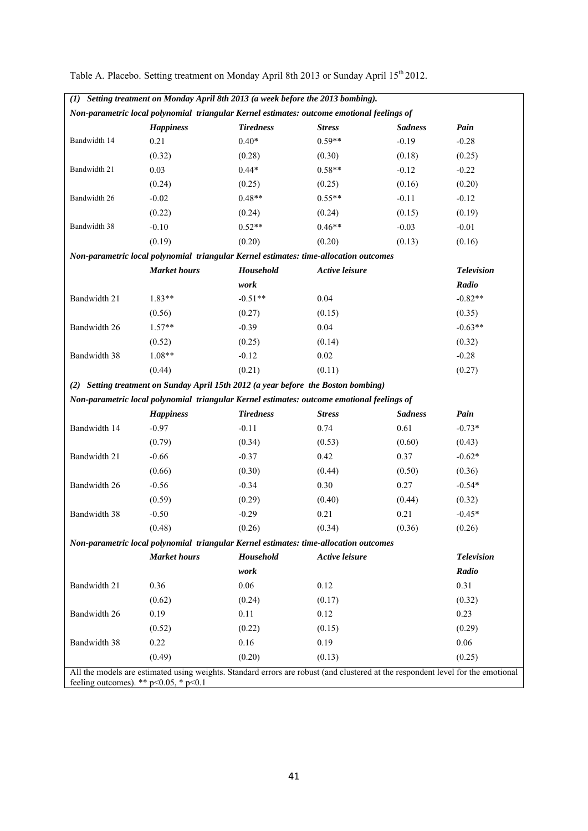|              | (1) Setting treatment on Monday April 8th 2013 (a week before the 2013 bombing). |                  |                                                                                                                                 |                |                   |
|--------------|----------------------------------------------------------------------------------|------------------|---------------------------------------------------------------------------------------------------------------------------------|----------------|-------------------|
|              |                                                                                  |                  | Non-parametric local polynomial triangular Kernel estimates: outcome emotional feelings of                                      |                |                   |
|              | <b>Happiness</b>                                                                 | <b>Tiredness</b> | <b>Stress</b>                                                                                                                   | <b>Sadness</b> | Pain              |
| Bandwidth 14 | 0.21                                                                             | $0.40*$          | $0.59**$                                                                                                                        | $-0.19$        | $-0.28$           |
|              | (0.32)                                                                           | (0.28)           | (0.30)                                                                                                                          | (0.18)         | (0.25)            |
| Bandwidth 21 | 0.03                                                                             | $0.44*$          | $0.58**$                                                                                                                        | $-0.12$        | $-0.22$           |
|              | (0.24)                                                                           | (0.25)           | (0.25)                                                                                                                          | (0.16)         | (0.20)            |
| Bandwidth 26 | $-0.02$                                                                          | $0.48**$         | $0.55**$                                                                                                                        | $-0.11$        | $-0.12$           |
|              | (0.22)                                                                           | (0.24)           | (0.24)                                                                                                                          | (0.15)         | (0.19)            |
| Bandwidth 38 | $-0.10$                                                                          | $0.52**$         | $0.46**$                                                                                                                        | $-0.03$        | $-0.01$           |
|              | (0.19)                                                                           | (0.20)           | (0.20)                                                                                                                          | (0.13)         | (0.16)            |
|              |                                                                                  |                  | Non-parametric local polynomial triangular Kernel estimates: time-allocation outcomes                                           |                |                   |
|              | <b>Market</b> hours                                                              | Household        | Active leisure                                                                                                                  |                | <b>Television</b> |
|              |                                                                                  | work             |                                                                                                                                 |                | Radio             |
| Bandwidth 21 | $1.83**$                                                                         | $-0.51**$        | 0.04                                                                                                                            |                | $-0.82**$         |
|              | (0.56)                                                                           | (0.27)           | (0.15)                                                                                                                          |                | (0.35)            |
| Bandwidth 26 | $1.57**$                                                                         | $-0.39$          | 0.04                                                                                                                            |                | $-0.63**$         |
|              | (0.52)                                                                           | (0.25)           | (0.14)                                                                                                                          |                | (0.32)            |
| Bandwidth 38 | $1.08**$                                                                         | $-0.12$          | 0.02                                                                                                                            |                | $-0.28$           |
|              | (0.44)                                                                           | (0.21)           | (0.11)                                                                                                                          |                | (0.27)            |
|              |                                                                                  |                  | (2) Setting treatment on Sunday April 15th 2012 (a year before the Boston bombing)                                              |                |                   |
|              |                                                                                  |                  | Non-parametric local polynomial triangular Kernel estimates: outcome emotional feelings of                                      |                |                   |
|              | <b>Happiness</b>                                                                 | <b>Tiredness</b> | <b>Stress</b>                                                                                                                   | <b>Sadness</b> | Pain              |
| Bandwidth 14 | $-0.97$                                                                          | $-0.11$          | 0.74                                                                                                                            | 0.61           | $-0.73*$          |
|              | (0.79)                                                                           | (0.34)           | (0.53)                                                                                                                          | (0.60)         | (0.43)            |
| Bandwidth 21 | $-0.66$                                                                          | $-0.37$          | 0.42                                                                                                                            | 0.37           | $-0.62*$          |
|              | (0.66)                                                                           | (0.30)           | (0.44)                                                                                                                          | (0.50)         | (0.36)            |
| Bandwidth 26 | $-0.56$                                                                          | $-0.34$          | 0.30                                                                                                                            | 0.27           | $-0.54*$          |
|              | (0.59)                                                                           | (0.29)           | (0.40)                                                                                                                          | (0.44)         | (0.32)            |
| Bandwidth 38 | $-0.50$                                                                          | $-0.29$          | 0.21                                                                                                                            | 0.21           | $-0.45*$          |
|              | (0.48)                                                                           | (0.26)           | (0.34)                                                                                                                          | (0.36)         | (0.26)            |
|              |                                                                                  |                  | Non-parametric local polynomial triangular Kernel estimates: time-allocation outcomes                                           |                |                   |
|              | <b>Market</b> hours                                                              | Household        | Active leisure                                                                                                                  |                | <b>Television</b> |
|              |                                                                                  | work             |                                                                                                                                 |                | Radio             |
| Bandwidth 21 | 0.36                                                                             | 0.06             | 0.12                                                                                                                            |                | 0.31              |
|              | (0.62)                                                                           | (0.24)           | (0.17)                                                                                                                          |                | (0.32)            |
| Bandwidth 26 | 0.19                                                                             | 0.11             | 0.12                                                                                                                            |                | 0.23              |
|              | (0.52)                                                                           | (0.22)           | (0.15)                                                                                                                          |                | (0.29)            |
| Bandwidth 38 | 0.22                                                                             | 0.16             | 0.19                                                                                                                            |                | 0.06              |
|              | (0.49)                                                                           | (0.20)           | (0.13)                                                                                                                          |                | (0.25)            |
|              | feeling outcomes). ** $p<0.05$ , * $p<0.1$                                       |                  | All the models are estimated using weights. Standard errors are robust (and clustered at the respondent level for the emotional |                |                   |

Table A. Placebo. Setting treatment on Monday April 8th 2013 or Sunday April 15<sup>th</sup> 2012.